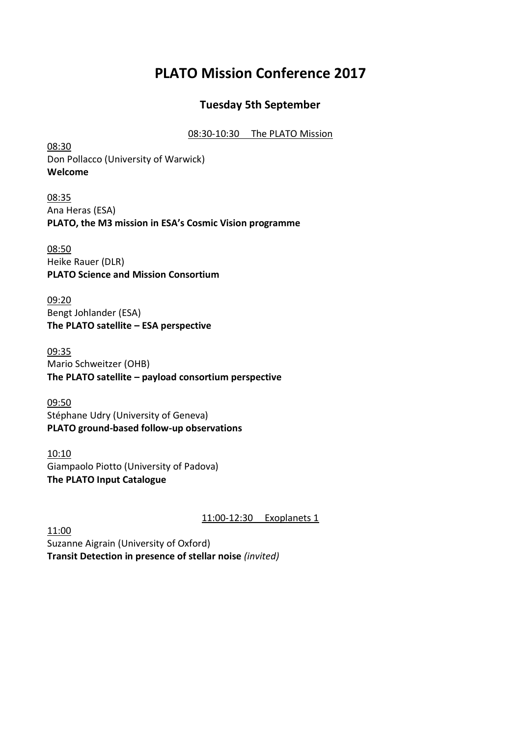# **PLATO Mission Conference 2017**

## **Tuesday 5th September**

#### 08:30-10:30 The PLATO Mission

08:30 Don Pollacco (University of Warwick) **Welcome**

08:35 Ana Heras (ESA) **PLATO, the M3 mission in ESA's Cosmic Vision programme**

08:50 Heike Rauer (DLR) **PLATO Science and Mission Consortium**

09:20 Bengt Johlander (ESA) **The PLATO satellite – ESA perspective**

09:35 Mario Schweitzer (OHB) **The PLATO satellite – payload consortium perspective**

09:50 Stéphane Udry (University of Geneva) **PLATO ground-based follow-up observations**

10:10 Giampaolo Piotto (University of Padova) **The PLATO Input Catalogue**

11:00-12:30 Exoplanets 1

11:00 Suzanne Aigrain (University of Oxford) **Transit Detection in presence of stellar noise** *(invited)*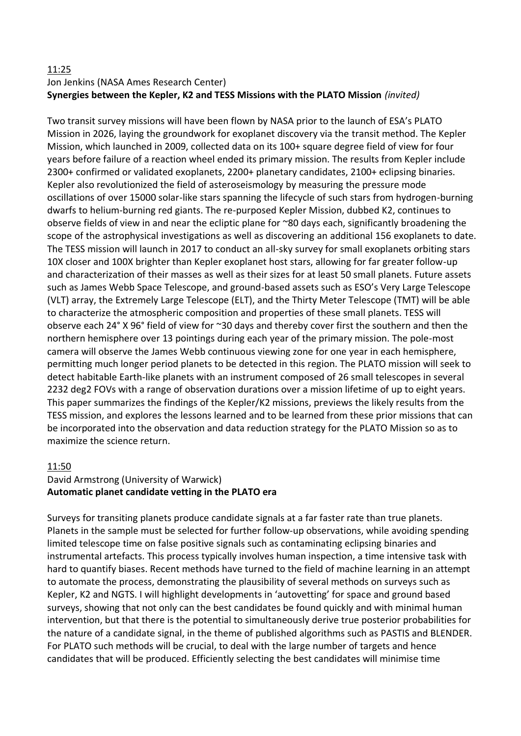#### 11:25

## Jon Jenkins (NASA Ames Research Center) **Synergies between the Kepler, K2 and TESS Missions with the PLATO Mission** *(invited)*

Two transit survey missions will have been flown by NASA prior to the launch of ESA's PLATO Mission in 2026, laying the groundwork for exoplanet discovery via the transit method. The Kepler Mission, which launched in 2009, collected data on its 100+ square degree field of view for four years before failure of a reaction wheel ended its primary mission. The results from Kepler include 2300+ confirmed or validated exoplanets, 2200+ planetary candidates, 2100+ eclipsing binaries. Kepler also revolutionized the field of asteroseismology by measuring the pressure mode oscillations of over 15000 solar-like stars spanning the lifecycle of such stars from hydrogen-burning dwarfs to helium-burning red giants. The re-purposed Kepler Mission, dubbed K2, continues to observe fields of view in and near the ecliptic plane for ~80 days each, significantly broadening the scope of the astrophysical investigations as well as discovering an additional 156 exoplanets to date. The TESS mission will launch in 2017 to conduct an all-sky survey for small exoplanets orbiting stars 10X closer and 100X brighter than Kepler exoplanet host stars, allowing for far greater follow-up and characterization of their masses as well as their sizes for at least 50 small planets. Future assets such as James Webb Space Telescope, and ground-based assets such as ESO's Very Large Telescope (VLT) array, the Extremely Large Telescope (ELT), and the Thirty Meter Telescope (TMT) will be able to characterize the atmospheric composition and properties of these small planets. TESS will observe each 24° X 96° field of view for ~30 days and thereby cover first the southern and then the northern hemisphere over 13 pointings during each year of the primary mission. The pole-most camera will observe the James Webb continuous viewing zone for one year in each hemisphere, permitting much longer period planets to be detected in this region. The PLATO mission will seek to detect habitable Earth-like planets with an instrument composed of 26 small telescopes in several 2232 deg2 FOVs with a range of observation durations over a mission lifetime of up to eight years. This paper summarizes the findings of the Kepler/K2 missions, previews the likely results from the TESS mission, and explores the lessons learned and to be learned from these prior missions that can be incorporated into the observation and data reduction strategy for the PLATO Mission so as to maximize the science return.

#### 11:50

#### David Armstrong (University of Warwick) **Automatic planet candidate vetting in the PLATO era**

Surveys for transiting planets produce candidate signals at a far faster rate than true planets. Planets in the sample must be selected for further follow-up observations, while avoiding spending limited telescope time on false positive signals such as contaminating eclipsing binaries and instrumental artefacts. This process typically involves human inspection, a time intensive task with hard to quantify biases. Recent methods have turned to the field of machine learning in an attempt to automate the process, demonstrating the plausibility of several methods on surveys such as Kepler, K2 and NGTS. I will highlight developments in 'autovetting' for space and ground based surveys, showing that not only can the best candidates be found quickly and with minimal human intervention, but that there is the potential to simultaneously derive true posterior probabilities for the nature of a candidate signal, in the theme of published algorithms such as PASTIS and BLENDER. For PLATO such methods will be crucial, to deal with the large number of targets and hence candidates that will be produced. Efficiently selecting the best candidates will minimise time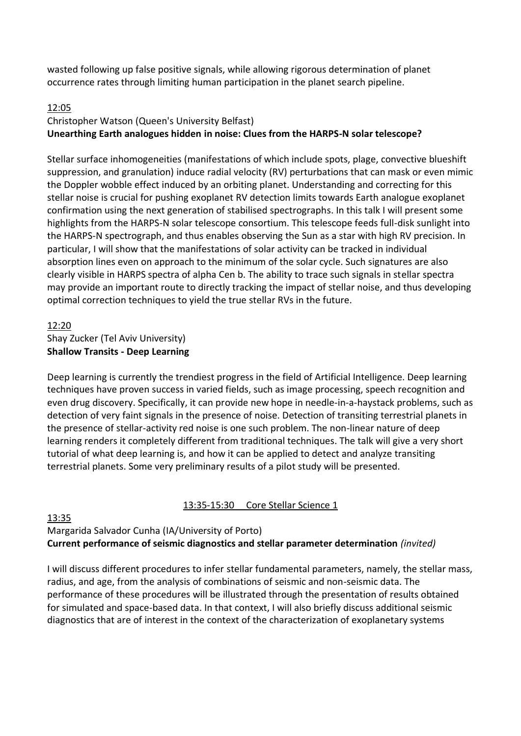wasted following up false positive signals, while allowing rigorous determination of planet occurrence rates through limiting human participation in the planet search pipeline.

## 12:05

## Christopher Watson (Queen's University Belfast) **Unearthing Earth analogues hidden in noise: Clues from the HARPS-N solar telescope?**

Stellar surface inhomogeneities (manifestations of which include spots, plage, convective blueshift suppression, and granulation) induce radial velocity (RV) perturbations that can mask or even mimic the Doppler wobble effect induced by an orbiting planet. Understanding and correcting for this stellar noise is crucial for pushing exoplanet RV detection limits towards Earth analogue exoplanet confirmation using the next generation of stabilised spectrographs. In this talk I will present some highlights from the HARPS-N solar telescope consortium. This telescope feeds full-disk sunlight into the HARPS-N spectrograph, and thus enables observing the Sun as a star with high RV precision. In particular, I will show that the manifestations of solar activity can be tracked in individual absorption lines even on approach to the minimum of the solar cycle. Such signatures are also clearly visible in HARPS spectra of alpha Cen b. The ability to trace such signals in stellar spectra may provide an important route to directly tracking the impact of stellar noise, and thus developing optimal correction techniques to yield the true stellar RVs in the future.

#### 12:20 Shay Zucker (Tel Aviv University) **Shallow Transits - Deep Learning**

Deep learning is currently the trendiest progress in the field of Artificial Intelligence. Deep learning techniques have proven success in varied fields, such as image processing, speech recognition and even drug discovery. Specifically, it can provide new hope in needle-in-a-haystack problems, such as detection of very faint signals in the presence of noise. Detection of transiting terrestrial planets in the presence of stellar-activity red noise is one such problem. The non-linear nature of deep learning renders it completely different from traditional techniques. The talk will give a very short tutorial of what deep learning is, and how it can be applied to detect and analyze transiting terrestrial planets. Some very preliminary results of a pilot study will be presented.

## 13:35-15:30 Core Stellar Science 1

## 13:35

## Margarida Salvador Cunha (IA/University of Porto) **Current performance of seismic diagnostics and stellar parameter determination** *(invited)*

I will discuss different procedures to infer stellar fundamental parameters, namely, the stellar mass, radius, and age, from the analysis of combinations of seismic and non-seismic data. The performance of these procedures will be illustrated through the presentation of results obtained for simulated and space-based data. In that context, I will also briefly discuss additional seismic diagnostics that are of interest in the context of the characterization of exoplanetary systems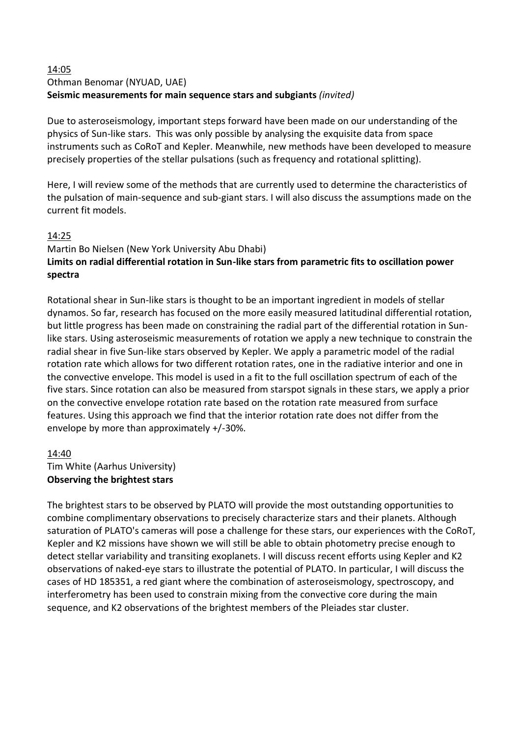#### 14:05 Othman Benomar (NYUAD, UAE) **Seismic measurements for main sequence stars and subgiants** *(invited)*

Due to asteroseismology, important steps forward have been made on our understanding of the physics of Sun-like stars. This was only possible by analysing the exquisite data from space instruments such as CoRoT and Kepler. Meanwhile, new methods have been developed to measure precisely properties of the stellar pulsations (such as frequency and rotational splitting).

Here, I will review some of the methods that are currently used to determine the characteristics of the pulsation of main-sequence and sub-giant stars. I will also discuss the assumptions made on the current fit models.

## 14:25

## Martin Bo Nielsen (New York University Abu Dhabi) **Limits on radial differential rotation in Sun-like stars from parametric fits to oscillation power spectra**

Rotational shear in Sun-like stars is thought to be an important ingredient in models of stellar dynamos. So far, research has focused on the more easily measured latitudinal differential rotation, but little progress has been made on constraining the radial part of the differential rotation in Sunlike stars. Using asteroseismic measurements of rotation we apply a new technique to constrain the radial shear in five Sun-like stars observed by Kepler. We apply a parametric model of the radial rotation rate which allows for two different rotation rates, one in the radiative interior and one in the convective envelope. This model is used in a fit to the full oscillation spectrum of each of the five stars. Since rotation can also be measured from starspot signals in these stars, we apply a prior on the convective envelope rotation rate based on the rotation rate measured from surface features. Using this approach we find that the interior rotation rate does not differ from the envelope by more than approximately +/-30%.

## 14:40

Tim White (Aarhus University) **Observing the brightest stars**

The brightest stars to be observed by PLATO will provide the most outstanding opportunities to combine complimentary observations to precisely characterize stars and their planets. Although saturation of PLATO's cameras will pose a challenge for these stars, our experiences with the CoRoT, Kepler and K2 missions have shown we will still be able to obtain photometry precise enough to detect stellar variability and transiting exoplanets. I will discuss recent efforts using Kepler and K2 observations of naked-eye stars to illustrate the potential of PLATO. In particular, I will discuss the cases of HD 185351, a red giant where the combination of asteroseismology, spectroscopy, and interferometry has been used to constrain mixing from the convective core during the main sequence, and K2 observations of the brightest members of the Pleiades star cluster.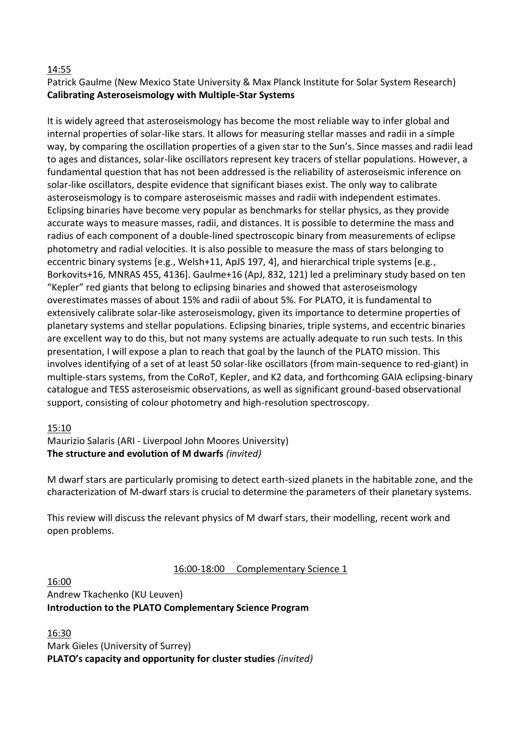## 14:55

Patrick Gaulme (New Mexico State University & Max Planck Institute for Solar System Research) **Calibrating Asteroseismology with Multiple-Star Systems**

It is widely agreed that asteroseismology has become the most reliable way to infer global and internal properties of solar-like stars. It allows for measuring stellar masses and radii in a simple way, by comparing the oscillation properties of a given star to the Sun's. Since masses and radii lead to ages and distances, solar-like oscillators represent key tracers of stellar populations. However, a fundamental question that has not been addressed is the reliability of asteroseismic inference on solar-like oscillators, despite evidence that significant biases exist. The only way to calibrate asteroseismology is to compare asteroseismic masses and radii with independent estimates. Eclipsing binaries have become very popular as benchmarks for stellar physics, as they provide accurate ways to measure masses, radii, and distances. It is possible to determine the mass and radius of each component of a double-lined spectroscopic binary from measurements of eclipse photometry and radial velocities. It is also possible to measure the mass of stars belonging to eccentric binary systems [e.g., Welsh+11, ApJS 197, 4], and hierarchical triple systems [e.g., Borkovits+16, MNRAS 455, 4136]. Gaulme+16 (ApJ, 832, 121) led a preliminary study based on ten "Kepler" red giants that belong to eclipsing binaries and showed that asteroseismology overestimates masses of about 15% and radii of about 5%. For PLATO, it is fundamental to extensively calibrate solar-like asteroseismology, given its importance to determine properties of planetary systems and stellar populations. Eclipsing binaries, triple systems, and eccentric binaries are excellent way to do this, but not many systems are actually adequate to run such tests. In this presentation, I will expose a plan to reach that goal by the launch of the PLATO mission. This involves identifying of a set of at least 50 solar-like oscillators (from main-sequence to red-giant) in multiple-stars systems, from the CoRoT, Kepler, and K2 data, and forthcoming GAIA eclipsing-binary catalogue and TESS asteroseismic observations, as well as significant ground-based observational support, consisting of colour photometry and high-resolution spectroscopy.

#### 15:10

Maurizio Salaris (ARI - Liverpool John Moores University) **The structure and evolution of M dwarfs** *(invited)*

M dwarf stars are particularly promising to detect earth-sized planets in the habitable zone, and the characterization of M-dwarf stars is crucial to determine the parameters of their planetary systems.

This review will discuss the relevant physics of M dwarf stars, their modelling, recent work and open problems.

#### 16:00-18:00 Complementary Science 1

#### 16:00 Andrew Tkachenko (KU Leuven) **Introduction to the PLATO Complementary Science Program**

16:30 Mark Gieles (University of Surrey) **PLATO's capacity and opportunity for cluster studies** *(invited)*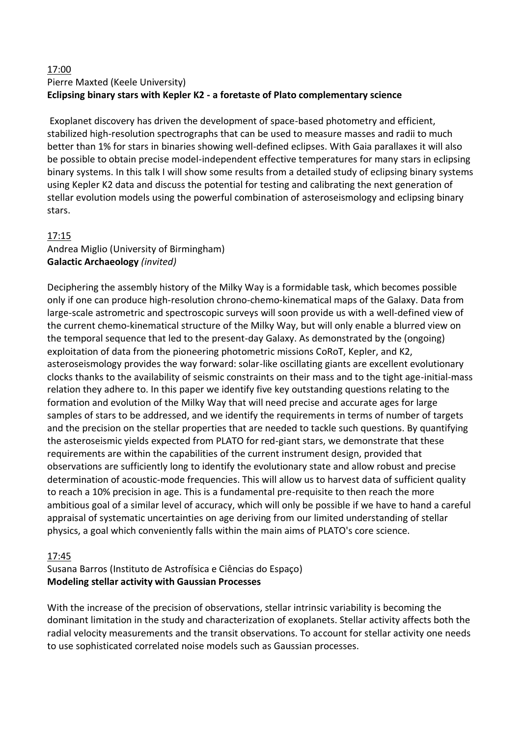#### 17:00 Pierre Maxted (Keele University) **Eclipsing binary stars with Kepler K2 - a foretaste of Plato complementary science**

Exoplanet discovery has driven the development of space-based photometry and efficient, stabilized high-resolution spectrographs that can be used to measure masses and radii to much better than 1% for stars in binaries showing well-defined eclipses. With Gaia parallaxes it will also be possible to obtain precise model-independent effective temperatures for many stars in eclipsing binary systems. In this talk I will show some results from a detailed study of eclipsing binary systems using Kepler K2 data and discuss the potential for testing and calibrating the next generation of stellar evolution models using the powerful combination of asteroseismology and eclipsing binary stars.

## 17:15

## Andrea Miglio (University of Birmingham) **Galactic Archaeology** *(invited)*

Deciphering the assembly history of the Milky Way is a formidable task, which becomes possible only if one can produce high-resolution chrono-chemo-kinematical maps of the Galaxy. Data from large-scale astrometric and spectroscopic surveys will soon provide us with a well-defined view of the current chemo-kinematical structure of the Milky Way, but will only enable a blurred view on the temporal sequence that led to the present-day Galaxy. As demonstrated by the (ongoing) exploitation of data from the pioneering photometric missions CoRoT, Kepler, and K2, asteroseismology provides the way forward: solar-like oscillating giants are excellent evolutionary clocks thanks to the availability of seismic constraints on their mass and to the tight age-initial-mass relation they adhere to. In this paper we identify five key outstanding questions relating to the formation and evolution of the Milky Way that will need precise and accurate ages for large samples of stars to be addressed, and we identify the requirements in terms of number of targets and the precision on the stellar properties that are needed to tackle such questions. By quantifying the asteroseismic yields expected from PLATO for red-giant stars, we demonstrate that these requirements are within the capabilities of the current instrument design, provided that observations are sufficiently long to identify the evolutionary state and allow robust and precise determination of acoustic-mode frequencies. This will allow us to harvest data of sufficient quality to reach a 10% precision in age. This is a fundamental pre-requisite to then reach the more ambitious goal of a similar level of accuracy, which will only be possible if we have to hand a careful appraisal of systematic uncertainties on age deriving from our limited understanding of stellar physics, a goal which conveniently falls within the main aims of PLATO's core science.

#### 17:45

## Susana Barros (Instituto de Astrofísica e Ciências do Espaço) **Modeling stellar activity with Gaussian Processes**

With the increase of the precision of observations, stellar intrinsic variability is becoming the dominant limitation in the study and characterization of exoplanets. Stellar activity affects both the radial velocity measurements and the transit observations. To account for stellar activity one needs to use sophisticated correlated noise models such as Gaussian processes.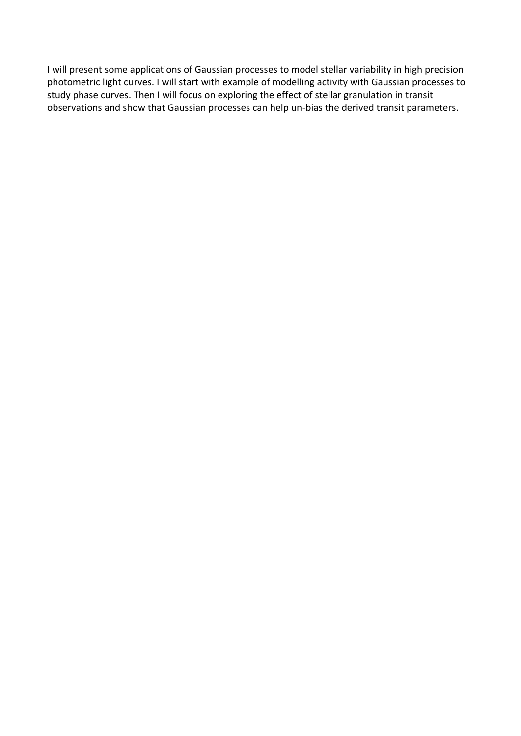I will present some applications of Gaussian processes to model stellar variability in high precision photometric light curves. I will start with example of modelling activity with Gaussian processes to study phase curves. Then I will focus on exploring the effect of stellar granulation in transit observations and show that Gaussian processes can help un-bias the derived transit parameters.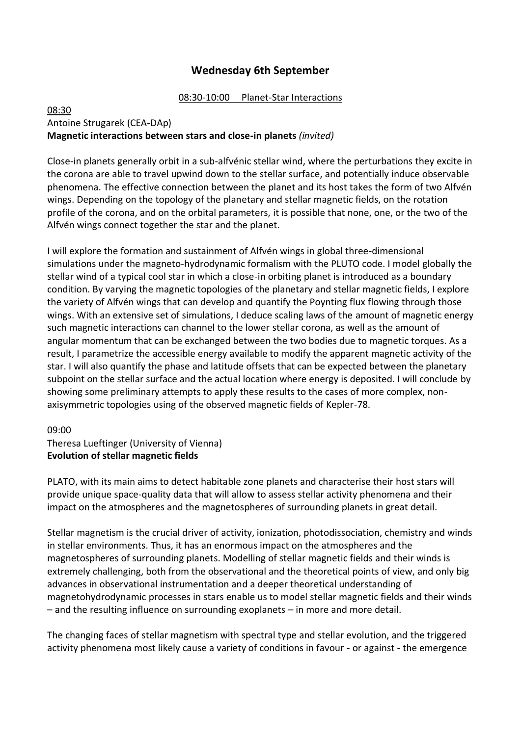## **Wednesday 6th September**

#### 08:30-10:00 Planet-Star Interactions

#### 08:30 Antoine Strugarek (CEA-DAp) **Magnetic interactions between stars and close-in planets** *(invited)*

Close-in planets generally orbit in a sub-alfvénic stellar wind, where the perturbations they excite in the corona are able to travel upwind down to the stellar surface, and potentially induce observable phenomena. The effective connection between the planet and its host takes the form of two Alfvén wings. Depending on the topology of the planetary and stellar magnetic fields, on the rotation profile of the corona, and on the orbital parameters, it is possible that none, one, or the two of the Alfvén wings connect together the star and the planet.

I will explore the formation and sustainment of Alfvén wings in global three-dimensional simulations under the magneto-hydrodynamic formalism with the PLUTO code. I model globally the stellar wind of a typical cool star in which a close-in orbiting planet is introduced as a boundary condition. By varying the magnetic topologies of the planetary and stellar magnetic fields, I explore the variety of Alfvén wings that can develop and quantify the Poynting flux flowing through those wings. With an extensive set of simulations, I deduce scaling laws of the amount of magnetic energy such magnetic interactions can channel to the lower stellar corona, as well as the amount of angular momentum that can be exchanged between the two bodies due to magnetic torques. As a result, I parametrize the accessible energy available to modify the apparent magnetic activity of the star. I will also quantify the phase and latitude offsets that can be expected between the planetary subpoint on the stellar surface and the actual location where energy is deposited. I will conclude by showing some preliminary attempts to apply these results to the cases of more complex, nonaxisymmetric topologies using of the observed magnetic fields of Kepler-78.

#### 09:00

## Theresa Lueftinger (University of Vienna) **Evolution of stellar magnetic fields**

PLATO, with its main aims to detect habitable zone planets and characterise their host stars will provide unique space-quality data that will allow to assess stellar activity phenomena and their impact on the atmospheres and the magnetospheres of surrounding planets in great detail.

Stellar magnetism is the crucial driver of activity, ionization, photodissociation, chemistry and winds in stellar environments. Thus, it has an enormous impact on the atmospheres and the magnetospheres of surrounding planets. Modelling of stellar magnetic fields and their winds is extremely challenging, both from the observational and the theoretical points of view, and only big advances in observational instrumentation and a deeper theoretical understanding of magnetohydrodynamic processes in stars enable us to model stellar magnetic fields and their winds – and the resulting influence on surrounding exoplanets – in more and more detail.

The changing faces of stellar magnetism with spectral type and stellar evolution, and the triggered activity phenomena most likely cause a variety of conditions in favour - or against - the emergence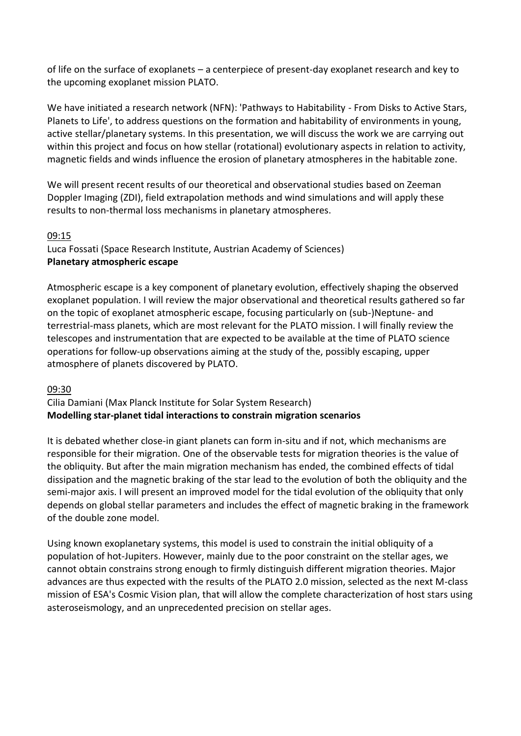of life on the surface of exoplanets – a centerpiece of present-day exoplanet research and key to the upcoming exoplanet mission PLATO.

We have initiated a research network (NFN): 'Pathways to Habitability - From Disks to Active Stars, Planets to Life', to address questions on the formation and habitability of environments in young, active stellar/planetary systems. In this presentation, we will discuss the work we are carrying out within this project and focus on how stellar (rotational) evolutionary aspects in relation to activity, magnetic fields and winds influence the erosion of planetary atmospheres in the habitable zone.

We will present recent results of our theoretical and observational studies based on Zeeman Doppler Imaging (ZDI), field extrapolation methods and wind simulations and will apply these results to non-thermal loss mechanisms in planetary atmospheres.

#### 09:15

Luca Fossati (Space Research Institute, Austrian Academy of Sciences) **Planetary atmospheric escape**

Atmospheric escape is a key component of planetary evolution, effectively shaping the observed exoplanet population. I will review the major observational and theoretical results gathered so far on the topic of exoplanet atmospheric escape, focusing particularly on (sub-)Neptune- and terrestrial-mass planets, which are most relevant for the PLATO mission. I will finally review the telescopes and instrumentation that are expected to be available at the time of PLATO science operations for follow-up observations aiming at the study of the, possibly escaping, upper atmosphere of planets discovered by PLATO.

#### 09:30

## Cilia Damiani (Max Planck Institute for Solar System Research) **Modelling star-planet tidal interactions to constrain migration scenarios**

It is debated whether close-in giant planets can form in-situ and if not, which mechanisms are responsible for their migration. One of the observable tests for migration theories is the value of the obliquity. But after the main migration mechanism has ended, the combined effects of tidal dissipation and the magnetic braking of the star lead to the evolution of both the obliquity and the semi-major axis. I will present an improved model for the tidal evolution of the obliquity that only depends on global stellar parameters and includes the effect of magnetic braking in the framework of the double zone model.

Using known exoplanetary systems, this model is used to constrain the initial obliquity of a population of hot-Jupiters. However, mainly due to the poor constraint on the stellar ages, we cannot obtain constrains strong enough to firmly distinguish different migration theories. Major advances are thus expected with the results of the PLATO 2.0 mission, selected as the next M-class mission of ESA's Cosmic Vision plan, that will allow the complete characterization of host stars using asteroseismology, and an unprecedented precision on stellar ages.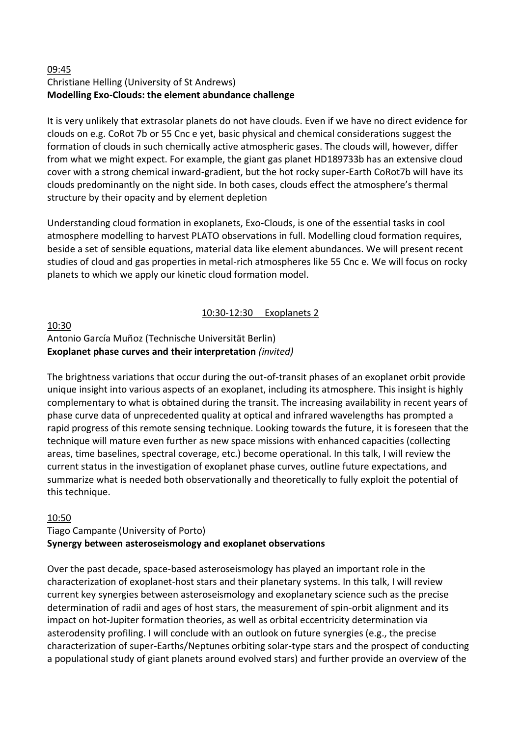#### 09:45 Christiane Helling (University of St Andrews) **Modelling Exo-Clouds: the element abundance challenge**

It is very unlikely that extrasolar planets do not have clouds. Even if we have no direct evidence for clouds on e.g. CoRot 7b or 55 Cnc e yet, basic physical and chemical considerations suggest the formation of clouds in such chemically active atmospheric gases. The clouds will, however, differ from what we might expect. For example, the giant gas planet HD189733b has an extensive cloud cover with a strong chemical inward-gradient, but the hot rocky super-Earth CoRot7b will have its clouds predominantly on the night side. In both cases, clouds effect the atmosphere's thermal structure by their opacity and by element depletion

Understanding cloud formation in exoplanets, Exo-Clouds, is one of the essential tasks in cool atmosphere modelling to harvest PLATO observations in full. Modelling cloud formation requires, beside a set of sensible equations, material data like element abundances. We will present recent studies of cloud and gas properties in metal-rich atmospheres like 55 Cnc e. We will focus on rocky planets to which we apply our kinetic cloud formation model.

## 10:30-12:30 Exoplanets 2

#### 10:30 Antonio García Muñoz (Technische Universität Berlin) **Exoplanet phase curves and their interpretation** *(invited)*

The brightness variations that occur during the out-of-transit phases of an exoplanet orbit provide unique insight into various aspects of an exoplanet, including its atmosphere. This insight is highly complementary to what is obtained during the transit. The increasing availability in recent years of phase curve data of unprecedented quality at optical and infrared wavelengths has prompted a rapid progress of this remote sensing technique. Looking towards the future, it is foreseen that the technique will mature even further as new space missions with enhanced capacities (collecting areas, time baselines, spectral coverage, etc.) become operational. In this talk, I will review the current status in the investigation of exoplanet phase curves, outline future expectations, and summarize what is needed both observationally and theoretically to fully exploit the potential of this technique.

#### 10:50

## Tiago Campante (University of Porto) **Synergy between asteroseismology and exoplanet observations**

Over the past decade, space-based asteroseismology has played an important role in the characterization of exoplanet-host stars and their planetary systems. In this talk, I will review current key synergies between asteroseismology and exoplanetary science such as the precise determination of radii and ages of host stars, the measurement of spin-orbit alignment and its impact on hot-Jupiter formation theories, as well as orbital eccentricity determination via asterodensity profiling. I will conclude with an outlook on future synergies (e.g., the precise characterization of super-Earths/Neptunes orbiting solar-type stars and the prospect of conducting a populational study of giant planets around evolved stars) and further provide an overview of the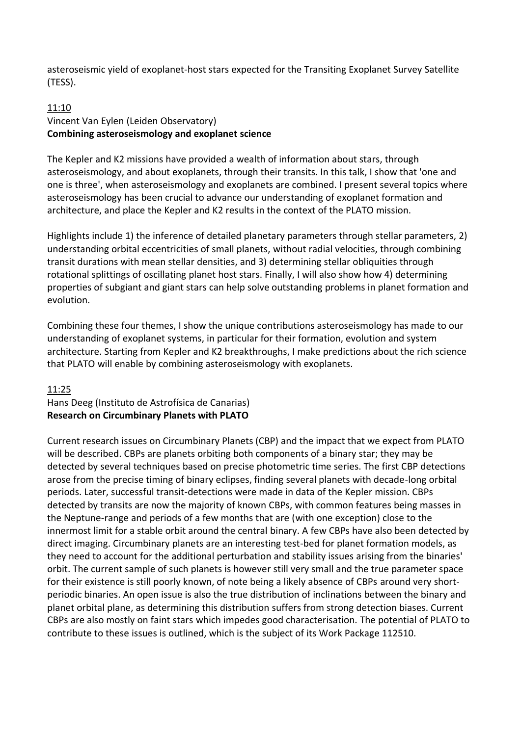asteroseismic yield of exoplanet-host stars expected for the Transiting Exoplanet Survey Satellite (TESS).

#### 11:10 Vincent Van Eylen (Leiden Observatory) **Combining asteroseismology and exoplanet science**

The Kepler and K2 missions have provided a wealth of information about stars, through asteroseismology, and about exoplanets, through their transits. In this talk, I show that 'one and one is three', when asteroseismology and exoplanets are combined. I present several topics where asteroseismology has been crucial to advance our understanding of exoplanet formation and architecture, and place the Kepler and K2 results in the context of the PLATO mission.

Highlights include 1) the inference of detailed planetary parameters through stellar parameters, 2) understanding orbital eccentricities of small planets, without radial velocities, through combining transit durations with mean stellar densities, and 3) determining stellar obliquities through rotational splittings of oscillating planet host stars. Finally, I will also show how 4) determining properties of subgiant and giant stars can help solve outstanding problems in planet formation and evolution.

Combining these four themes, I show the unique contributions asteroseismology has made to our understanding of exoplanet systems, in particular for their formation, evolution and system architecture. Starting from Kepler and K2 breakthroughs, I make predictions about the rich science that PLATO will enable by combining asteroseismology with exoplanets.

#### 11:25

Hans Deeg (Instituto de Astrofísica de Canarias) **Research on Circumbinary Planets with PLATO**

Current research issues on Circumbinary Planets (CBP) and the impact that we expect from PLATO will be described. CBPs are planets orbiting both components of a binary star; they may be detected by several techniques based on precise photometric time series. The first CBP detections arose from the precise timing of binary eclipses, finding several planets with decade-long orbital periods. Later, successful transit-detections were made in data of the Kepler mission. CBPs detected by transits are now the majority of known CBPs, with common features being masses in the Neptune-range and periods of a few months that are (with one exception) close to the innermost limit for a stable orbit around the central binary. A few CBPs have also been detected by direct imaging. Circumbinary planets are an interesting test-bed for planet formation models, as they need to account for the additional perturbation and stability issues arising from the binaries' orbit. The current sample of such planets is however still very small and the true parameter space for their existence is still poorly known, of note being a likely absence of CBPs around very shortperiodic binaries. An open issue is also the true distribution of inclinations between the binary and planet orbital plane, as determining this distribution suffers from strong detection biases. Current CBPs are also mostly on faint stars which impedes good characterisation. The potential of PLATO to contribute to these issues is outlined, which is the subject of its Work Package 112510.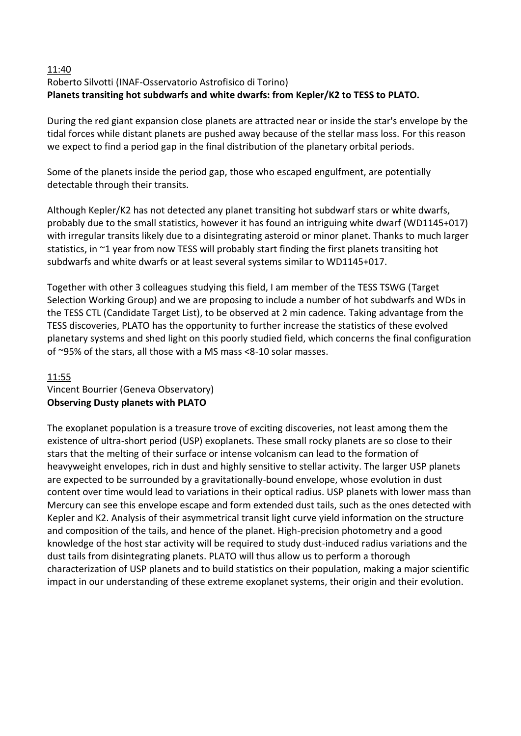#### 11:40 Roberto Silvotti (INAF-Osservatorio Astrofisico di Torino) **Planets transiting hot subdwarfs and white dwarfs: from Kepler/K2 to TESS to PLATO.**

During the red giant expansion close planets are attracted near or inside the star's envelope by the tidal forces while distant planets are pushed away because of the stellar mass loss. For this reason we expect to find a period gap in the final distribution of the planetary orbital periods.

Some of the planets inside the period gap, those who escaped engulfment, are potentially detectable through their transits.

Although Kepler/K2 has not detected any planet transiting hot subdwarf stars or white dwarfs, probably due to the small statistics, however it has found an intriguing white dwarf (WD1145+017) with irregular transits likely due to a disintegrating asteroid or minor planet. Thanks to much larger statistics, in ~1 year from now TESS will probably start finding the first planets transiting hot subdwarfs and white dwarfs or at least several systems similar to WD1145+017.

Together with other 3 colleagues studying this field, I am member of the TESS TSWG (Target Selection Working Group) and we are proposing to include a number of hot subdwarfs and WDs in the TESS CTL (Candidate Target List), to be observed at 2 min cadence. Taking advantage from the TESS discoveries, PLATO has the opportunity to further increase the statistics of these evolved planetary systems and shed light on this poorly studied field, which concerns the final configuration of ~95% of the stars, all those with a MS mass <8-10 solar masses.

## 11:55

#### Vincent Bourrier (Geneva Observatory) **Observing Dusty planets with PLATO**

The exoplanet population is a treasure trove of exciting discoveries, not least among them the existence of ultra-short period (USP) exoplanets. These small rocky planets are so close to their stars that the melting of their surface or intense volcanism can lead to the formation of heavyweight envelopes, rich in dust and highly sensitive to stellar activity. The larger USP planets are expected to be surrounded by a gravitationally-bound envelope, whose evolution in dust content over time would lead to variations in their optical radius. USP planets with lower mass than Mercury can see this envelope escape and form extended dust tails, such as the ones detected with Kepler and K2. Analysis of their asymmetrical transit light curve yield information on the structure and composition of the tails, and hence of the planet. High-precision photometry and a good knowledge of the host star activity will be required to study dust-induced radius variations and the dust tails from disintegrating planets. PLATO will thus allow us to perform a thorough characterization of USP planets and to build statistics on their population, making a major scientific impact in our understanding of these extreme exoplanet systems, their origin and their evolution.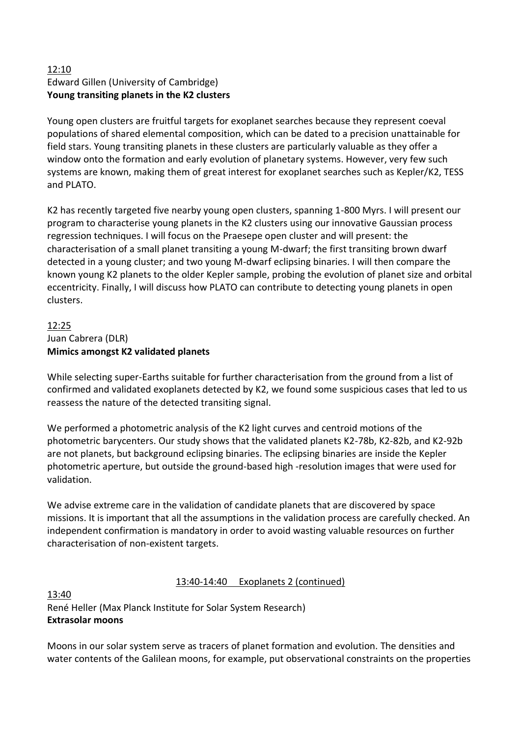## 12:10 Edward Gillen (University of Cambridge) **Young transiting planets in the K2 clusters**

Young open clusters are fruitful targets for exoplanet searches because they represent coeval populations of shared elemental composition, which can be dated to a precision unattainable for field stars. Young transiting planets in these clusters are particularly valuable as they offer a window onto the formation and early evolution of planetary systems. However, very few such systems are known, making them of great interest for exoplanet searches such as Kepler/K2, TESS and PLATO.

K2 has recently targeted five nearby young open clusters, spanning 1-800 Myrs. I will present our program to characterise young planets in the K2 clusters using our innovative Gaussian process regression techniques. I will focus on the Praesepe open cluster and will present: the characterisation of a small planet transiting a young M-dwarf; the first transiting brown dwarf detected in a young cluster; and two young M-dwarf eclipsing binaries. I will then compare the known young K2 planets to the older Kepler sample, probing the evolution of planet size and orbital eccentricity. Finally, I will discuss how PLATO can contribute to detecting young planets in open clusters.

## 12:25 Juan Cabrera (DLR) **Mimics amongst K2 validated planets**

While selecting super-Earths suitable for further characterisation from the ground from a list of confirmed and validated exoplanets detected by K2, we found some suspicious cases that led to us reassess the nature of the detected transiting signal.

We performed a photometric analysis of the K2 light curves and centroid motions of the photometric barycenters. Our study shows that the validated planets K2-78b, K2-82b, and K2-92b are not planets, but background eclipsing binaries. The eclipsing binaries are inside the Kepler photometric aperture, but outside the ground-based high -resolution images that were used for validation.

We advise extreme care in the validation of candidate planets that are discovered by space missions. It is important that all the assumptions in the validation process are carefully checked. An independent confirmation is mandatory in order to avoid wasting valuable resources on further characterisation of non-existent targets.

## 13:40-14:40 Exoplanets 2 (continued)

13:40 René Heller (Max Planck Institute for Solar System Research) **Extrasolar moons**

Moons in our solar system serve as tracers of planet formation and evolution. The densities and water contents of the Galilean moons, for example, put observational constraints on the properties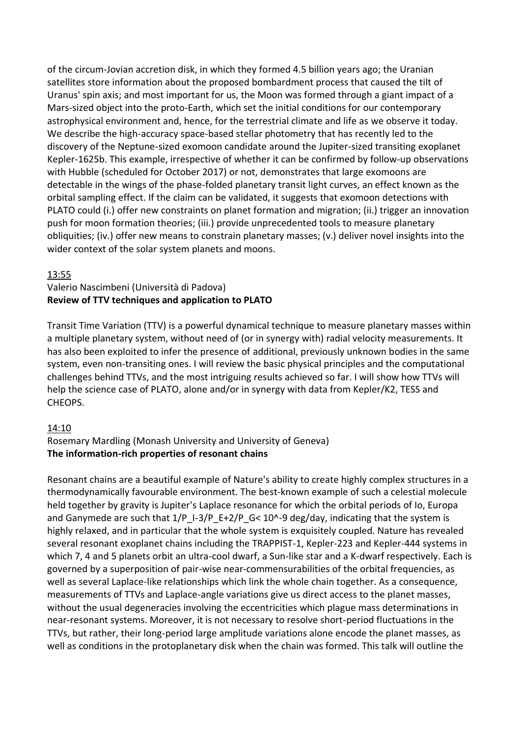of the circum-Jovian accretion disk, in which they formed 4.5 billion years ago; the Uranian satellites store information about the proposed bombardment process that caused the tilt of Uranus' spin axis; and most important for us, the Moon was formed through a giant impact of a Mars-sized object into the proto-Earth, which set the initial conditions for our contemporary astrophysical environment and, hence, for the terrestrial climate and life as we observe it today. We describe the high-accuracy space-based stellar photometry that has recently led to the discovery of the Neptune-sized exomoon candidate around the Jupiter-sized transiting exoplanet Kepler-1625b. This example, irrespective of whether it can be confirmed by follow-up observations with Hubble (scheduled for October 2017) or not, demonstrates that large exomoons are detectable in the wings of the phase-folded planetary transit light curves, an effect known as the orbital sampling effect. If the claim can be validated, it suggests that exomoon detections with PLATO could (i.) offer new constraints on planet formation and migration; (ii.) trigger an innovation push for moon formation theories; (iii.) provide unprecedented tools to measure planetary obliquities; (iv.) offer new means to constrain planetary masses; (v.) deliver novel insights into the wider context of the solar system planets and moons.

#### 13:55

#### Valerio Nascimbeni (Università di Padova) **Review of TTV techniques and application to PLATO**

Transit Time Variation (TTV) is a powerful dynamical technique to measure planetary masses within a multiple planetary system, without need of (or in synergy with) radial velocity measurements. It has also been exploited to infer the presence of additional, previously unknown bodies in the same system, even non-transiting ones. I will review the basic physical principles and the computational challenges behind TTVs, and the most intriguing results achieved so far. I will show how TTVs will help the science case of PLATO, alone and/or in synergy with data from Kepler/K2, TESS and CHEOPS.

#### 14:10

## Rosemary Mardling (Monash University and University of Geneva) **The information-rich properties of resonant chains**

Resonant chains are a beautiful example of Nature's ability to create highly complex structures in a thermodynamically favourable environment. The best-known example of such a celestial molecule held together by gravity is Jupiter's Laplace resonance for which the orbital periods of Io, Europa and Ganymede are such that  $1/P_1-3/P_E+2/P_G< 10^2-9$  deg/day, indicating that the system is highly relaxed, and in particular that the whole system is exquisitely coupled. Nature has revealed several resonant exoplanet chains including the TRAPPIST-1, Kepler-223 and Kepler-444 systems in which 7, 4 and 5 planets orbit an ultra-cool dwarf, a Sun-like star and a K-dwarf respectively. Each is governed by a superposition of pair-wise near-commensurabilities of the orbital frequencies, as well as several Laplace-like relationships which link the whole chain together. As a consequence, measurements of TTVs and Laplace-angle variations give us direct access to the planet masses, without the usual degeneracies involving the eccentricities which plague mass determinations in near-resonant systems. Moreover, it is not necessary to resolve short-period fluctuations in the TTVs, but rather, their long-period large amplitude variations alone encode the planet masses, as well as conditions in the protoplanetary disk when the chain was formed. This talk will outline the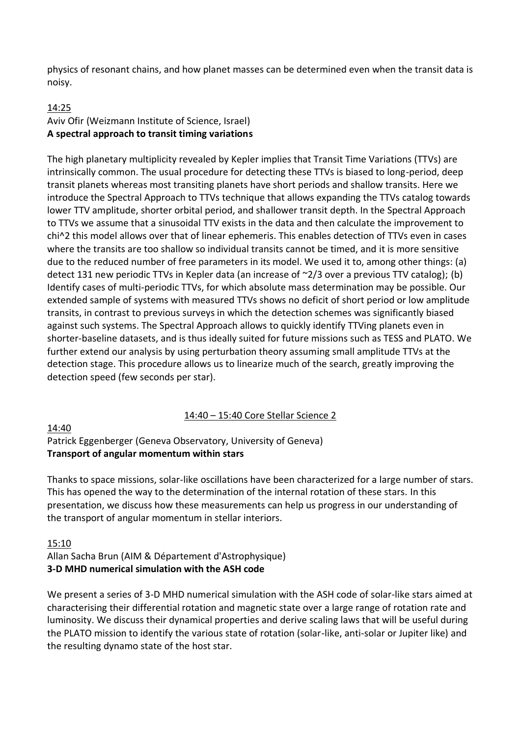physics of resonant chains, and how planet masses can be determined even when the transit data is noisy.

#### 14:25 Aviv Ofir (Weizmann Institute of Science, Israel) **A spectral approach to transit timing variations**

The high planetary multiplicity revealed by Kepler implies that Transit Time Variations (TTVs) are intrinsically common. The usual procedure for detecting these TTVs is biased to long-period, deep transit planets whereas most transiting planets have short periods and shallow transits. Here we introduce the Spectral Approach to TTVs technique that allows expanding the TTVs catalog towards lower TTV amplitude, shorter orbital period, and shallower transit depth. In the Spectral Approach to TTVs we assume that a sinusoidal TTV exists in the data and then calculate the improvement to chi^2 this model allows over that of linear ephemeris. This enables detection of TTVs even in cases where the transits are too shallow so individual transits cannot be timed, and it is more sensitive due to the reduced number of free parameters in its model. We used it to, among other things: (a) detect 131 new periodic TTVs in Kepler data (an increase of ~2/3 over a previous TTV catalog); (b) Identify cases of multi-periodic TTVs, for which absolute mass determination may be possible. Our extended sample of systems with measured TTVs shows no deficit of short period or low amplitude transits, in contrast to previous surveys in which the detection schemes was significantly biased against such systems. The Spectral Approach allows to quickly identify TTVing planets even in shorter-baseline datasets, and is thus ideally suited for future missions such as TESS and PLATO. We further extend our analysis by using perturbation theory assuming small amplitude TTVs at the detection stage. This procedure allows us to linearize much of the search, greatly improving the detection speed (few seconds per star).

#### 14:40 – 15:40 Core Stellar Science 2

#### 14:40

## Patrick Eggenberger (Geneva Observatory, University of Geneva) **Transport of angular momentum within stars**

Thanks to space missions, solar-like oscillations have been characterized for a large number of stars. This has opened the way to the determination of the internal rotation of these stars. In this presentation, we discuss how these measurements can help us progress in our understanding of the transport of angular momentum in stellar interiors.

#### 15:10

## Allan Sacha Brun (AIM & Département d'Astrophysique) **3-D MHD numerical simulation with the ASH code**

We present a series of 3-D MHD numerical simulation with the ASH code of solar-like stars aimed at characterising their differential rotation and magnetic state over a large range of rotation rate and luminosity. We discuss their dynamical properties and derive scaling laws that will be useful during the PLATO mission to identify the various state of rotation (solar-like, anti-solar or Jupiter like) and the resulting dynamo state of the host star.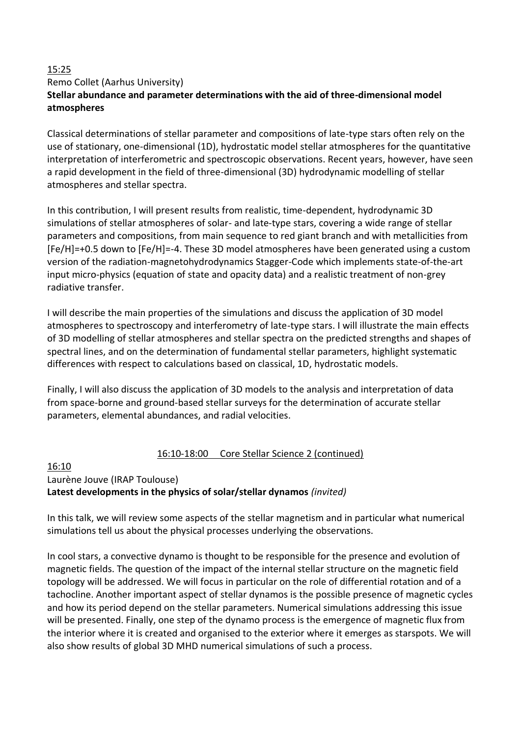#### 15:25 Remo Collet (Aarhus University) **Stellar abundance and parameter determinations with the aid of three-dimensional model atmospheres**

Classical determinations of stellar parameter and compositions of late-type stars often rely on the use of stationary, one-dimensional (1D), hydrostatic model stellar atmospheres for the quantitative interpretation of interferometric and spectroscopic observations. Recent years, however, have seen a rapid development in the field of three-dimensional (3D) hydrodynamic modelling of stellar atmospheres and stellar spectra.

In this contribution, I will present results from realistic, time-dependent, hydrodynamic 3D simulations of stellar atmospheres of solar- and late-type stars, covering a wide range of stellar parameters and compositions, from main sequence to red giant branch and with metallicities from [Fe/H]=+0.5 down to [Fe/H]=-4. These 3D model atmospheres have been generated using a custom version of the radiation-magnetohydrodynamics Stagger-Code which implements state-of-the-art input micro-physics (equation of state and opacity data) and a realistic treatment of non-grey radiative transfer.

I will describe the main properties of the simulations and discuss the application of 3D model atmospheres to spectroscopy and interferometry of late-type stars. I will illustrate the main effects of 3D modelling of stellar atmospheres and stellar spectra on the predicted strengths and shapes of spectral lines, and on the determination of fundamental stellar parameters, highlight systematic differences with respect to calculations based on classical, 1D, hydrostatic models.

Finally, I will also discuss the application of 3D models to the analysis and interpretation of data from space-borne and ground-based stellar surveys for the determination of accurate stellar parameters, elemental abundances, and radial velocities.

## 16:10-18:00 Core Stellar Science 2 (continued)

#### 16:10 Laurène Jouve (IRAP Toulouse) **Latest developments in the physics of solar/stellar dynamos** *(invited)*

In this talk, we will review some aspects of the stellar magnetism and in particular what numerical simulations tell us about the physical processes underlying the observations.

In cool stars, a convective dynamo is thought to be responsible for the presence and evolution of magnetic fields. The question of the impact of the internal stellar structure on the magnetic field topology will be addressed. We will focus in particular on the role of differential rotation and of a tachocline. Another important aspect of stellar dynamos is the possible presence of magnetic cycles and how its period depend on the stellar parameters. Numerical simulations addressing this issue will be presented. Finally, one step of the dynamo process is the emergence of magnetic flux from the interior where it is created and organised to the exterior where it emerges as starspots. We will also show results of global 3D MHD numerical simulations of such a process.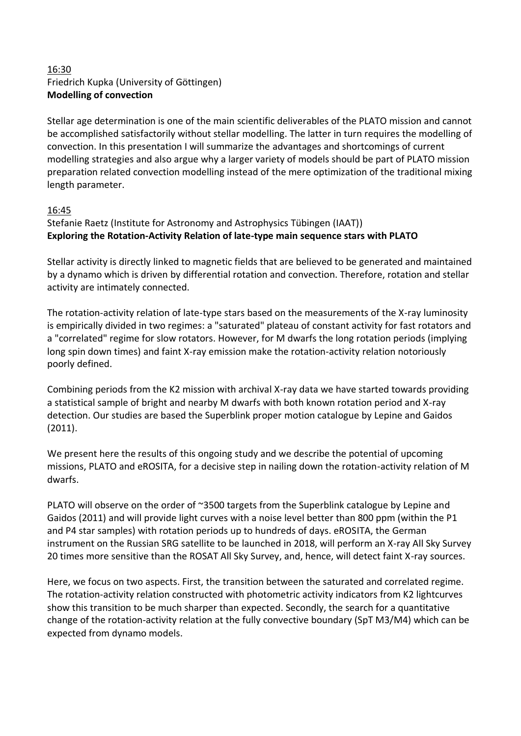## 16:30 Friedrich Kupka (University of Göttingen) **Modelling of convection**

Stellar age determination is one of the main scientific deliverables of the PLATO mission and cannot be accomplished satisfactorily without stellar modelling. The latter in turn requires the modelling of convection. In this presentation I will summarize the advantages and shortcomings of current modelling strategies and also argue why a larger variety of models should be part of PLATO mission preparation related convection modelling instead of the mere optimization of the traditional mixing length parameter.

#### 16:45

## Stefanie Raetz (Institute for Astronomy and Astrophysics Tübingen (IAAT)) **Exploring the Rotation-Activity Relation of late-type main sequence stars with PLATO**

Stellar activity is directly linked to magnetic fields that are believed to be generated and maintained by a dynamo which is driven by differential rotation and convection. Therefore, rotation and stellar activity are intimately connected.

The rotation-activity relation of late-type stars based on the measurements of the X-ray luminosity is empirically divided in two regimes: a "saturated" plateau of constant activity for fast rotators and a "correlated" regime for slow rotators. However, for M dwarfs the long rotation periods (implying long spin down times) and faint X-ray emission make the rotation-activity relation notoriously poorly defined.

Combining periods from the K2 mission with archival X-ray data we have started towards providing a statistical sample of bright and nearby M dwarfs with both known rotation period and X-ray detection. Our studies are based the Superblink proper motion catalogue by Lepine and Gaidos (2011).

We present here the results of this ongoing study and we describe the potential of upcoming missions, PLATO and eROSITA, for a decisive step in nailing down the rotation-activity relation of M dwarfs.

PLATO will observe on the order of ~3500 targets from the Superblink catalogue by Lepine and Gaidos (2011) and will provide light curves with a noise level better than 800 ppm (within the P1 and P4 star samples) with rotation periods up to hundreds of days. eROSITA, the German instrument on the Russian SRG satellite to be launched in 2018, will perform an X-ray All Sky Survey 20 times more sensitive than the ROSAT All Sky Survey, and, hence, will detect faint X-ray sources.

Here, we focus on two aspects. First, the transition between the saturated and correlated regime. The rotation-activity relation constructed with photometric activity indicators from K2 lightcurves show this transition to be much sharper than expected. Secondly, the search for a quantitative change of the rotation-activity relation at the fully convective boundary (SpT M3/M4) which can be expected from dynamo models.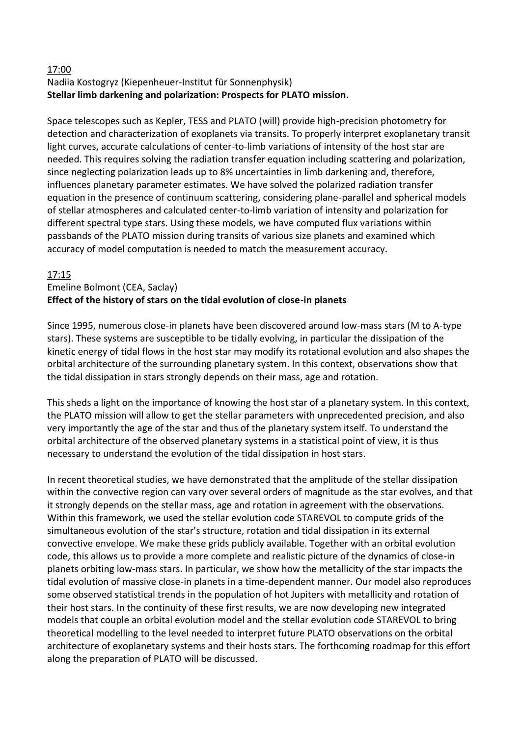## 17:00

## Nadiia Kostogryz (Kiepenheuer-Institut für Sonnenphysik) **Stellar limb darkening and polarization: Prospects for PLATO mission.**

Space telescopes such as Kepler, TESS and PLATO (will) provide high-precision photometry for detection and characterization of exoplanets via transits. To properly interpret exoplanetary transit light curves, accurate calculations of center-to-limb variations of intensity of the host star are needed. This requires solving the radiation transfer equation including scattering and polarization, since neglecting polarization leads up to 8% uncertainties in limb darkening and, therefore, influences planetary parameter estimates. We have solved the polarized radiation transfer equation in the presence of continuum scattering, considering plane-parallel and spherical models of stellar atmospheres and calculated center-to-limb variation of intensity and polarization for different spectral type stars. Using these models, we have computed flux variations within passbands of the PLATO mission during transits of various size planets and examined which accuracy of model computation is needed to match the measurement accuracy.

#### 17:15

#### Emeline Bolmont (CEA, Saclay) **Effect of the history of stars on the tidal evolution of close-in planets**

Since 1995, numerous close-in planets have been discovered around low-mass stars (M to A-type stars). These systems are susceptible to be tidally evolving, in particular the dissipation of the kinetic energy of tidal flows in the host star may modify its rotational evolution and also shapes the orbital architecture of the surrounding planetary system. In this context, observations show that the tidal dissipation in stars strongly depends on their mass, age and rotation.

This sheds a light on the importance of knowing the host star of a planetary system. In this context, the PLATO mission will allow to get the stellar parameters with unprecedented precision, and also very importantly the age of the star and thus of the planetary system itself. To understand the orbital architecture of the observed planetary systems in a statistical point of view, it is thus necessary to understand the evolution of the tidal dissipation in host stars.

In recent theoretical studies, we have demonstrated that the amplitude of the stellar dissipation within the convective region can vary over several orders of magnitude as the star evolves, and that it strongly depends on the stellar mass, age and rotation in agreement with the observations. Within this framework, we used the stellar evolution code STAREVOL to compute grids of the simultaneous evolution of the star's structure, rotation and tidal dissipation in its external convective envelope. We make these grids publicly available. Together with an orbital evolution code, this allows us to provide a more complete and realistic picture of the dynamics of close-in planets orbiting low-mass stars. In particular, we show how the metallicity of the star impacts the tidal evolution of massive close-in planets in a time-dependent manner. Our model also reproduces some observed statistical trends in the population of hot Jupiters with metallicity and rotation of their host stars. In the continuity of these first results, we are now developing new integrated models that couple an orbital evolution model and the stellar evolution code STAREVOL to bring theoretical modelling to the level needed to interpret future PLATO observations on the orbital architecture of exoplanetary systems and their hosts stars. The forthcoming roadmap for this effort along the preparation of PLATO will be discussed.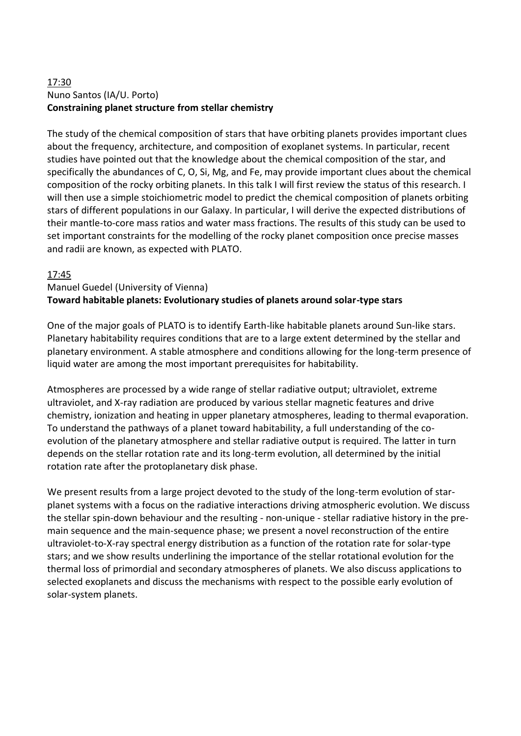## 17:30 Nuno Santos (IA/U. Porto) **Constraining planet structure from stellar chemistry**

The study of the chemical composition of stars that have orbiting planets provides important clues about the frequency, architecture, and composition of exoplanet systems. In particular, recent studies have pointed out that the knowledge about the chemical composition of the star, and specifically the abundances of C, O, Si, Mg, and Fe, may provide important clues about the chemical composition of the rocky orbiting planets. In this talk I will first review the status of this research. I will then use a simple stoichiometric model to predict the chemical composition of planets orbiting stars of different populations in our Galaxy. In particular, I will derive the expected distributions of their mantle-to-core mass ratios and water mass fractions. The results of this study can be used to set important constraints for the modelling of the rocky planet composition once precise masses and radii are known, as expected with PLATO.

## 17:45

#### Manuel Guedel (University of Vienna) **Toward habitable planets: Evolutionary studies of planets around solar-type stars**

One of the major goals of PLATO is to identify Earth-like habitable planets around Sun-like stars. Planetary habitability requires conditions that are to a large extent determined by the stellar and planetary environment. A stable atmosphere and conditions allowing for the long-term presence of liquid water are among the most important prerequisites for habitability.

Atmospheres are processed by a wide range of stellar radiative output; ultraviolet, extreme ultraviolet, and X-ray radiation are produced by various stellar magnetic features and drive chemistry, ionization and heating in upper planetary atmospheres, leading to thermal evaporation. To understand the pathways of a planet toward habitability, a full understanding of the coevolution of the planetary atmosphere and stellar radiative output is required. The latter in turn depends on the stellar rotation rate and its long-term evolution, all determined by the initial rotation rate after the protoplanetary disk phase.

We present results from a large project devoted to the study of the long-term evolution of starplanet systems with a focus on the radiative interactions driving atmospheric evolution. We discuss the stellar spin-down behaviour and the resulting - non-unique - stellar radiative history in the premain sequence and the main-sequence phase; we present a novel reconstruction of the entire ultraviolet-to-X-ray spectral energy distribution as a function of the rotation rate for solar-type stars; and we show results underlining the importance of the stellar rotational evolution for the thermal loss of primordial and secondary atmospheres of planets. We also discuss applications to selected exoplanets and discuss the mechanisms with respect to the possible early evolution of solar-system planets.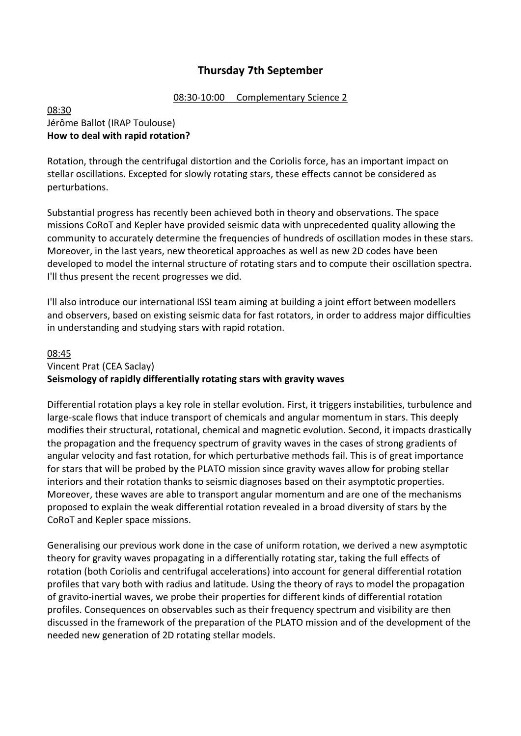## **Thursday 7th September**

#### 08:30-10:00 Complementary Science 2

#### 08:30 Jérôme Ballot (IRAP Toulouse) **How to deal with rapid rotation?**

Rotation, through the centrifugal distortion and the Coriolis force, has an important impact on stellar oscillations. Excepted for slowly rotating stars, these effects cannot be considered as perturbations.

Substantial progress has recently been achieved both in theory and observations. The space missions CoRoT and Kepler have provided seismic data with unprecedented quality allowing the community to accurately determine the frequencies of hundreds of oscillation modes in these stars. Moreover, in the last years, new theoretical approaches as well as new 2D codes have been developed to model the internal structure of rotating stars and to compute their oscillation spectra. I'll thus present the recent progresses we did.

I'll also introduce our international ISSI team aiming at building a joint effort between modellers and observers, based on existing seismic data for fast rotators, in order to address major difficulties in understanding and studying stars with rapid rotation.

#### 08:45

## Vincent Prat (CEA Saclay) **Seismology of rapidly differentially rotating stars with gravity waves**

Differential rotation plays a key role in stellar evolution. First, it triggers instabilities, turbulence and large-scale flows that induce transport of chemicals and angular momentum in stars. This deeply modifies their structural, rotational, chemical and magnetic evolution. Second, it impacts drastically the propagation and the frequency spectrum of gravity waves in the cases of strong gradients of angular velocity and fast rotation, for which perturbative methods fail. This is of great importance for stars that will be probed by the PLATO mission since gravity waves allow for probing stellar interiors and their rotation thanks to seismic diagnoses based on their asymptotic properties. Moreover, these waves are able to transport angular momentum and are one of the mechanisms proposed to explain the weak differential rotation revealed in a broad diversity of stars by the CoRoT and Kepler space missions.

Generalising our previous work done in the case of uniform rotation, we derived a new asymptotic theory for gravity waves propagating in a differentially rotating star, taking the full effects of rotation (both Coriolis and centrifugal accelerations) into account for general differential rotation profiles that vary both with radius and latitude. Using the theory of rays to model the propagation of gravito-inertial waves, we probe their properties for different kinds of differential rotation profiles. Consequences on observables such as their frequency spectrum and visibility are then discussed in the framework of the preparation of the PLATO mission and of the development of the needed new generation of 2D rotating stellar models.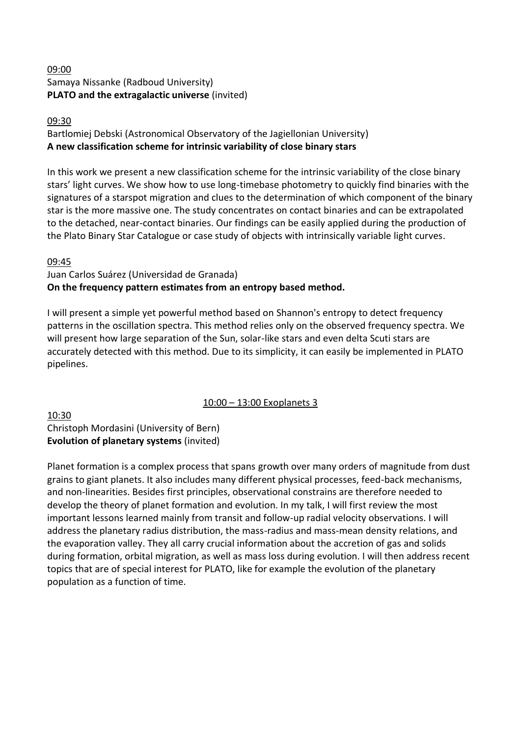### 09:00 Samaya Nissanke (Radboud University) **PLATO and the extragalactic universe** (invited)

#### 09:30

## Bartlomiej Debski (Astronomical Observatory of the Jagiellonian University) **A new classification scheme for intrinsic variability of close binary stars**

In this work we present a new classification scheme for the intrinsic variability of the close binary stars' light curves. We show how to use long-timebase photometry to quickly find binaries with the signatures of a starspot migration and clues to the determination of which component of the binary star is the more massive one. The study concentrates on contact binaries and can be extrapolated to the detached, near-contact binaries. Our findings can be easily applied during the production of the Plato Binary Star Catalogue or case study of objects with intrinsically variable light curves.

## 09:45

#### Juan Carlos Suárez (Universidad de Granada) **On the frequency pattern estimates from an entropy based method.**

I will present a simple yet powerful method based on Shannon's entropy to detect frequency patterns in the oscillation spectra. This method relies only on the observed frequency spectra. We will present how large separation of the Sun, solar-like stars and even delta Scuti stars are accurately detected with this method. Due to its simplicity, it can easily be implemented in PLATO pipelines.

## 10:00 – 13:00 Exoplanets 3

#### 10:30 Christoph Mordasini (University of Bern) **Evolution of planetary systems** (invited)

Planet formation is a complex process that spans growth over many orders of magnitude from dust grains to giant planets. It also includes many different physical processes, feed-back mechanisms, and non-linearities. Besides first principles, observational constrains are therefore needed to develop the theory of planet formation and evolution. In my talk, I will first review the most important lessons learned mainly from transit and follow-up radial velocity observations. I will address the planetary radius distribution, the mass-radius and mass-mean density relations, and the evaporation valley. They all carry crucial information about the accretion of gas and solids during formation, orbital migration, as well as mass loss during evolution. I will then address recent topics that are of special interest for PLATO, like for example the evolution of the planetary population as a function of time.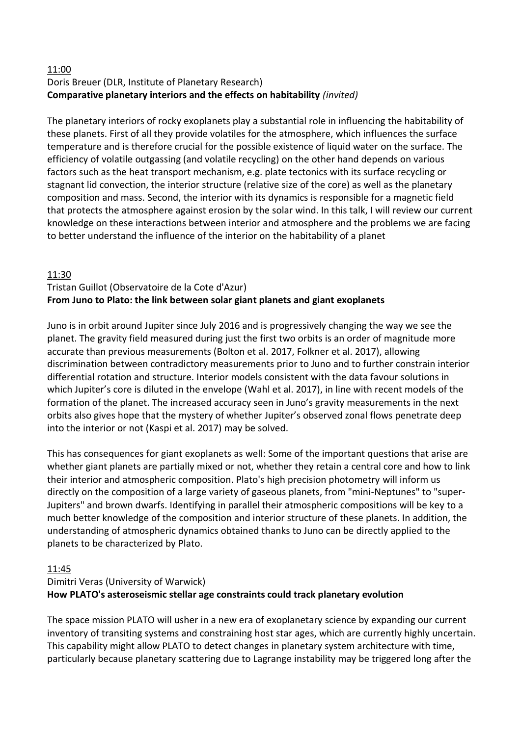#### 11:00 Doris Breuer (DLR, Institute of Planetary Research) **Comparative planetary interiors and the effects on habitability** *(invited)*

The planetary interiors of rocky exoplanets play a substantial role in influencing the habitability of these planets. First of all they provide volatiles for the atmosphere, which influences the surface temperature and is therefore crucial for the possible existence of liquid water on the surface. The efficiency of volatile outgassing (and volatile recycling) on the other hand depends on various factors such as the heat transport mechanism, e.g. plate tectonics with its surface recycling or stagnant lid convection, the interior structure (relative size of the core) as well as the planetary composition and mass. Second, the interior with its dynamics is responsible for a magnetic field that protects the atmosphere against erosion by the solar wind. In this talk, I will review our current knowledge on these interactions between interior and atmosphere and the problems we are facing to better understand the influence of the interior on the habitability of a planet

## 11:30

## Tristan Guillot (Observatoire de la Cote d'Azur) **From Juno to Plato: the link between solar giant planets and giant exoplanets**

Juno is in orbit around Jupiter since July 2016 and is progressively changing the way we see the planet. The gravity field measured during just the first two orbits is an order of magnitude more accurate than previous measurements (Bolton et al. 2017, Folkner et al. 2017), allowing discrimination between contradictory measurements prior to Juno and to further constrain interior differential rotation and structure. Interior models consistent with the data favour solutions in which Jupiter's core is diluted in the envelope (Wahl et al. 2017), in line with recent models of the formation of the planet. The increased accuracy seen in Juno's gravity measurements in the next orbits also gives hope that the mystery of whether Jupiter's observed zonal flows penetrate deep into the interior or not (Kaspi et al. 2017) may be solved.

This has consequences for giant exoplanets as well: Some of the important questions that arise are whether giant planets are partially mixed or not, whether they retain a central core and how to link their interior and atmospheric composition. Plato's high precision photometry will inform us directly on the composition of a large variety of gaseous planets, from "mini-Neptunes" to "super-Jupiters" and brown dwarfs. Identifying in parallel their atmospheric compositions will be key to a much better knowledge of the composition and interior structure of these planets. In addition, the understanding of atmospheric dynamics obtained thanks to Juno can be directly applied to the planets to be characterized by Plato.

#### 11:45

## Dimitri Veras (University of Warwick) **How PLATO's asteroseismic stellar age constraints could track planetary evolution**

The space mission PLATO will usher in a new era of exoplanetary science by expanding our current inventory of transiting systems and constraining host star ages, which are currently highly uncertain. This capability might allow PLATO to detect changes in planetary system architecture with time, particularly because planetary scattering due to Lagrange instability may be triggered long after the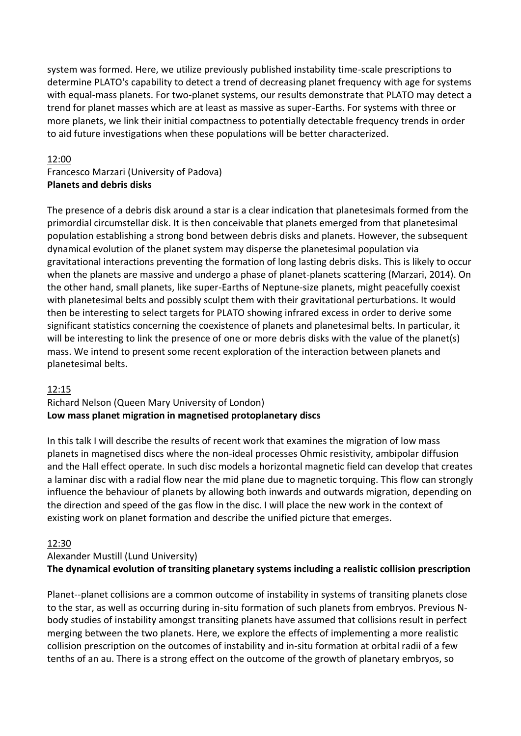system was formed. Here, we utilize previously published instability time-scale prescriptions to determine PLATO's capability to detect a trend of decreasing planet frequency with age for systems with equal-mass planets. For two-planet systems, our results demonstrate that PLATO may detect a trend for planet masses which are at least as massive as super-Earths. For systems with three or more planets, we link their initial compactness to potentially detectable frequency trends in order to aid future investigations when these populations will be better characterized.

#### 12:00

## Francesco Marzari (University of Padova) **Planets and debris disks**

The presence of a debris disk around a star is a clear indication that planetesimals formed from the primordial circumstellar disk. It is then conceivable that planets emerged from that planetesimal population establishing a strong bond between debris disks and planets. However, the subsequent dynamical evolution of the planet system may disperse the planetesimal population via gravitational interactions preventing the formation of long lasting debris disks. This is likely to occur when the planets are massive and undergo a phase of planet-planets scattering (Marzari, 2014). On the other hand, small planets, like super-Earths of Neptune-size planets, might peacefully coexist with planetesimal belts and possibly sculpt them with their gravitational perturbations. It would then be interesting to select targets for PLATO showing infrared excess in order to derive some significant statistics concerning the coexistence of planets and planetesimal belts. In particular, it will be interesting to link the presence of one or more debris disks with the value of the planet(s) mass. We intend to present some recent exploration of the interaction between planets and planetesimal belts.

#### 12:15

#### Richard Nelson (Queen Mary University of London) **Low mass planet migration in magnetised protoplanetary discs**

In this talk I will describe the results of recent work that examines the migration of low mass planets in magnetised discs where the non-ideal processes Ohmic resistivity, ambipolar diffusion and the Hall effect operate. In such disc models a horizontal magnetic field can develop that creates a laminar disc with a radial flow near the mid plane due to magnetic torquing. This flow can strongly influence the behaviour of planets by allowing both inwards and outwards migration, depending on the direction and speed of the gas flow in the disc. I will place the new work in the context of existing work on planet formation and describe the unified picture that emerges.

#### 12:30

## Alexander Mustill (Lund University)

#### **The dynamical evolution of transiting planetary systems including a realistic collision prescription**

Planet--planet collisions are a common outcome of instability in systems of transiting planets close to the star, as well as occurring during in-situ formation of such planets from embryos. Previous Nbody studies of instability amongst transiting planets have assumed that collisions result in perfect merging between the two planets. Here, we explore the effects of implementing a more realistic collision prescription on the outcomes of instability and in-situ formation at orbital radii of a few tenths of an au. There is a strong effect on the outcome of the growth of planetary embryos, so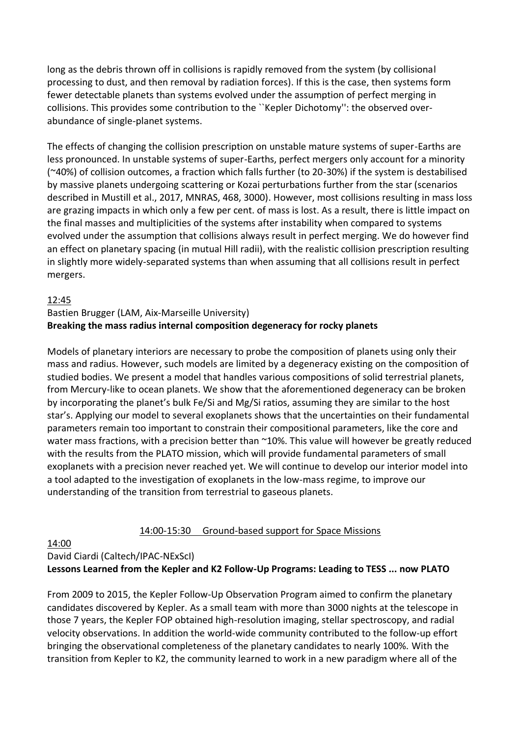long as the debris thrown off in collisions is rapidly removed from the system (by collisional processing to dust, and then removal by radiation forces). If this is the case, then systems form fewer detectable planets than systems evolved under the assumption of perfect merging in collisions. This provides some contribution to the ``Kepler Dichotomy'': the observed overabundance of single-planet systems.

The effects of changing the collision prescription on unstable mature systems of super-Earths are less pronounced. In unstable systems of super-Earths, perfect mergers only account for a minority (~40%) of collision outcomes, a fraction which falls further (to 20-30%) if the system is destabilised by massive planets undergoing scattering or Kozai perturbations further from the star (scenarios described in Mustill et al., 2017, MNRAS, 468, 3000). However, most collisions resulting in mass loss are grazing impacts in which only a few per cent. of mass is lost. As a result, there is little impact on the final masses and multiplicities of the systems after instability when compared to systems evolved under the assumption that collisions always result in perfect merging. We do however find an effect on planetary spacing (in mutual Hill radii), with the realistic collision prescription resulting in slightly more widely-separated systems than when assuming that all collisions result in perfect mergers.

#### 12:45

#### Bastien Brugger (LAM, Aix-Marseille University) **Breaking the mass radius internal composition degeneracy for rocky planets**

Models of planetary interiors are necessary to probe the composition of planets using only their mass and radius. However, such models are limited by a degeneracy existing on the composition of studied bodies. We present a model that handles various compositions of solid terrestrial planets, from Mercury-like to ocean planets. We show that the aforementioned degeneracy can be broken by incorporating the planet's bulk Fe/Si and Mg/Si ratios, assuming they are similar to the host star's. Applying our model to several exoplanets shows that the uncertainties on their fundamental parameters remain too important to constrain their compositional parameters, like the core and water mass fractions, with a precision better than ~10%. This value will however be greatly reduced with the results from the PLATO mission, which will provide fundamental parameters of small exoplanets with a precision never reached yet. We will continue to develop our interior model into a tool adapted to the investigation of exoplanets in the low-mass regime, to improve our understanding of the transition from terrestrial to gaseous planets.

#### 14:00-15:30 Ground-based support for Space Missions

#### 14:00

David Ciardi (Caltech/IPAC-NExScI)

#### **Lessons Learned from the Kepler and K2 Follow-Up Programs: Leading to TESS ... now PLATO**

From 2009 to 2015, the Kepler Follow-Up Observation Program aimed to confirm the planetary candidates discovered by Kepler. As a small team with more than 3000 nights at the telescope in those 7 years, the Kepler FOP obtained high-resolution imaging, stellar spectroscopy, and radial velocity observations. In addition the world-wide community contributed to the follow-up effort bringing the observational completeness of the planetary candidates to nearly 100%. With the transition from Kepler to K2, the community learned to work in a new paradigm where all of the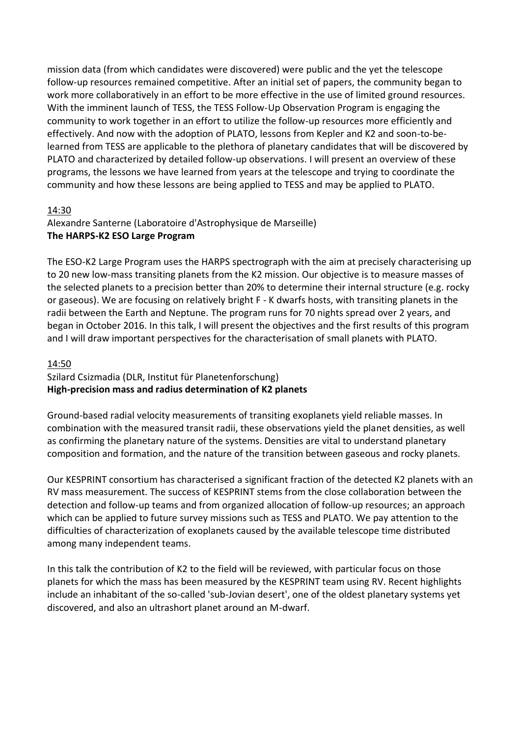mission data (from which candidates were discovered) were public and the yet the telescope follow-up resources remained competitive. After an initial set of papers, the community began to work more collaboratively in an effort to be more effective in the use of limited ground resources. With the imminent launch of TESS, the TESS Follow-Up Observation Program is engaging the community to work together in an effort to utilize the follow-up resources more efficiently and effectively. And now with the adoption of PLATO, lessons from Kepler and K2 and soon-to-belearned from TESS are applicable to the plethora of planetary candidates that will be discovered by PLATO and characterized by detailed follow-up observations. I will present an overview of these programs, the lessons we have learned from years at the telescope and trying to coordinate the community and how these lessons are being applied to TESS and may be applied to PLATO.

#### 14:30

#### Alexandre Santerne (Laboratoire d'Astrophysique de Marseille) **The HARPS-K2 ESO Large Program**

The ESO-K2 Large Program uses the HARPS spectrograph with the aim at precisely characterising up to 20 new low-mass transiting planets from the K2 mission. Our objective is to measure masses of the selected planets to a precision better than 20% to determine their internal structure (e.g. rocky or gaseous). We are focusing on relatively bright F - K dwarfs hosts, with transiting planets in the radii between the Earth and Neptune. The program runs for 70 nights spread over 2 years, and began in October 2016. In this talk, I will present the objectives and the first results of this program and I will draw important perspectives for the characterisation of small planets with PLATO.

## 14:50

## Szilard Csizmadia (DLR, Institut für Planetenforschung) **High-precision mass and radius determination of K2 planets**

Ground-based radial velocity measurements of transiting exoplanets yield reliable masses. In combination with the measured transit radii, these observations yield the planet densities, as well as confirming the planetary nature of the systems. Densities are vital to understand planetary composition and formation, and the nature of the transition between gaseous and rocky planets.

Our KESPRINT consortium has characterised a significant fraction of the detected K2 planets with an RV mass measurement. The success of KESPRINT stems from the close collaboration between the detection and follow-up teams and from organized allocation of follow-up resources; an approach which can be applied to future survey missions such as TESS and PLATO. We pay attention to the difficulties of characterization of exoplanets caused by the available telescope time distributed among many independent teams.

In this talk the contribution of K2 to the field will be reviewed, with particular focus on those planets for which the mass has been measured by the KESPRINT team using RV. Recent highlights include an inhabitant of the so-called 'sub-Jovian desert', one of the oldest planetary systems yet discovered, and also an ultrashort planet around an M-dwarf.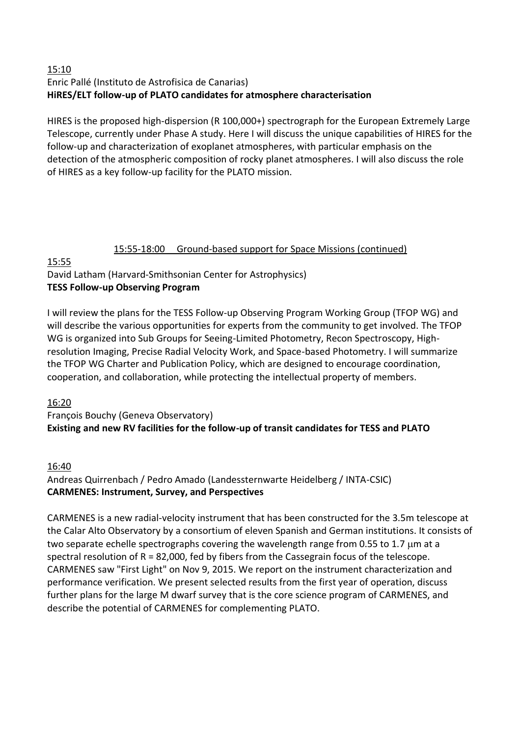#### 15:10 Enric Pallé (Instituto de Astrofisica de Canarias) **HiRES/ELT follow-up of PLATO candidates for atmosphere characterisation**

HIRES is the proposed high-dispersion (R 100,000+) spectrograph for the European Extremely Large Telescope, currently under Phase A study. Here I will discuss the unique capabilities of HIRES for the follow-up and characterization of exoplanet atmospheres, with particular emphasis on the detection of the atmospheric composition of rocky planet atmospheres. I will also discuss the role of HIRES as a key follow-up facility for the PLATO mission.

## 15:55-18:00 Ground-based support for Space Missions (continued)

15:55

## David Latham (Harvard-Smithsonian Center for Astrophysics) **TESS Follow-up Observing Program**

I will review the plans for the TESS Follow-up Observing Program Working Group (TFOP WG) and will describe the various opportunities for experts from the community to get involved. The TFOP WG is organized into Sub Groups for Seeing-Limited Photometry, Recon Spectroscopy, Highresolution Imaging, Precise Radial Velocity Work, and Space-based Photometry. I will summarize the TFOP WG Charter and Publication Policy, which are designed to encourage coordination, cooperation, and collaboration, while protecting the intellectual property of members.

16:20

## François Bouchy (Geneva Observatory) **Existing and new RV facilities for the follow-up of transit candidates for TESS and PLATO**

## 16:40

Andreas Quirrenbach / Pedro Amado (Landessternwarte Heidelberg / INTA-CSIC) **CARMENES: Instrument, Survey, and Perspectives**

CARMENES is a new radial-velocity instrument that has been constructed for the 3.5m telescope at the Calar Alto Observatory by a consortium of eleven Spanish and German institutions. It consists of two separate echelle spectrographs covering the wavelength range from 0.55 to 1.7  $\mu$ m at a spectral resolution of  $R = 82,000$ , fed by fibers from the Cassegrain focus of the telescope. CARMENES saw "First Light" on Nov 9, 2015. We report on the instrument characterization and performance verification. We present selected results from the first year of operation, discuss further plans for the large M dwarf survey that is the core science program of CARMENES, and describe the potential of CARMENES for complementing PLATO.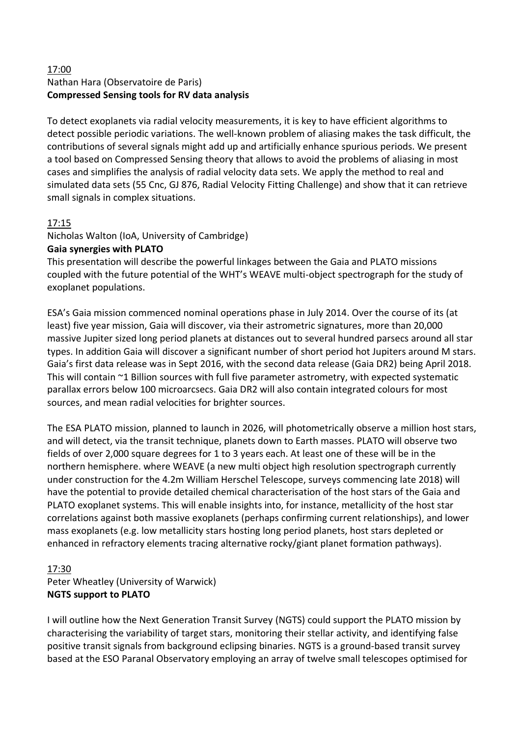## 17:00 Nathan Hara (Observatoire de Paris) **Compressed Sensing tools for RV data analysis**

To detect exoplanets via radial velocity measurements, it is key to have efficient algorithms to detect possible periodic variations. The well-known problem of aliasing makes the task difficult, the contributions of several signals might add up and artificially enhance spurious periods. We present a tool based on Compressed Sensing theory that allows to avoid the problems of aliasing in most cases and simplifies the analysis of radial velocity data sets. We apply the method to real and simulated data sets (55 Cnc, GJ 876, Radial Velocity Fitting Challenge) and show that it can retrieve small signals in complex situations.

## 17:15

Nicholas Walton (IoA, University of Cambridge)

#### **Gaia synergies with PLATO**

This presentation will describe the powerful linkages between the Gaia and PLATO missions coupled with the future potential of the WHT's WEAVE multi-object spectrograph for the study of exoplanet populations.

ESA's Gaia mission commenced nominal operations phase in July 2014. Over the course of its (at least) five year mission, Gaia will discover, via their astrometric signatures, more than 20,000 massive Jupiter sized long period planets at distances out to several hundred parsecs around all star types. In addition Gaia will discover a significant number of short period hot Jupiters around M stars. Gaia's first data release was in Sept 2016, with the second data release (Gaia DR2) being April 2018. This will contain ~1 Billion sources with full five parameter astrometry, with expected systematic parallax errors below 100 microarcsecs. Gaia DR2 will also contain integrated colours for most sources, and mean radial velocities for brighter sources.

The ESA PLATO mission, planned to launch in 2026, will photometrically observe a million host stars, and will detect, via the transit technique, planets down to Earth masses. PLATO will observe two fields of over 2,000 square degrees for 1 to 3 years each. At least one of these will be in the northern hemisphere. where WEAVE (a new multi object high resolution spectrograph currently under construction for the 4.2m William Herschel Telescope, surveys commencing late 2018) will have the potential to provide detailed chemical characterisation of the host stars of the Gaia and PLATO exoplanet systems. This will enable insights into, for instance, metallicity of the host star correlations against both massive exoplanets (perhaps confirming current relationships), and lower mass exoplanets (e.g. low metallicity stars hosting long period planets, host stars depleted or enhanced in refractory elements tracing alternative rocky/giant planet formation pathways).

## 17:30 Peter Wheatley (University of Warwick) **NGTS support to PLATO**

I will outline how the Next Generation Transit Survey (NGTS) could support the PLATO mission by characterising the variability of target stars, monitoring their stellar activity, and identifying false positive transit signals from background eclipsing binaries. NGTS is a ground-based transit survey based at the ESO Paranal Observatory employing an array of twelve small telescopes optimised for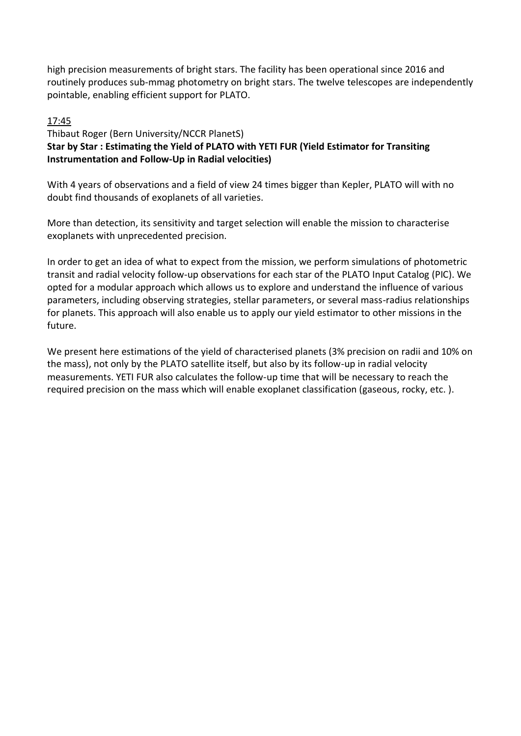high precision measurements of bright stars. The facility has been operational since 2016 and routinely produces sub-mmag photometry on bright stars. The twelve telescopes are independently pointable, enabling efficient support for PLATO.

## 17:45

## Thibaut Roger (Bern University/NCCR PlanetS) **Star by Star : Estimating the Yield of PLATO with YETI FUR (Yield Estimator for Transiting Instrumentation and Follow-Up in Radial velocities)**

With 4 years of observations and a field of view 24 times bigger than Kepler, PLATO will with no doubt find thousands of exoplanets of all varieties.

More than detection, its sensitivity and target selection will enable the mission to characterise exoplanets with unprecedented precision.

In order to get an idea of what to expect from the mission, we perform simulations of photometric transit and radial velocity follow-up observations for each star of the PLATO Input Catalog (PIC). We opted for a modular approach which allows us to explore and understand the influence of various parameters, including observing strategies, stellar parameters, or several mass-radius relationships for planets. This approach will also enable us to apply our yield estimator to other missions in the future.

We present here estimations of the yield of characterised planets (3% precision on radii and 10% on the mass), not only by the PLATO satellite itself, but also by its follow-up in radial velocity measurements. YETI FUR also calculates the follow-up time that will be necessary to reach the required precision on the mass which will enable exoplanet classification (gaseous, rocky, etc. ).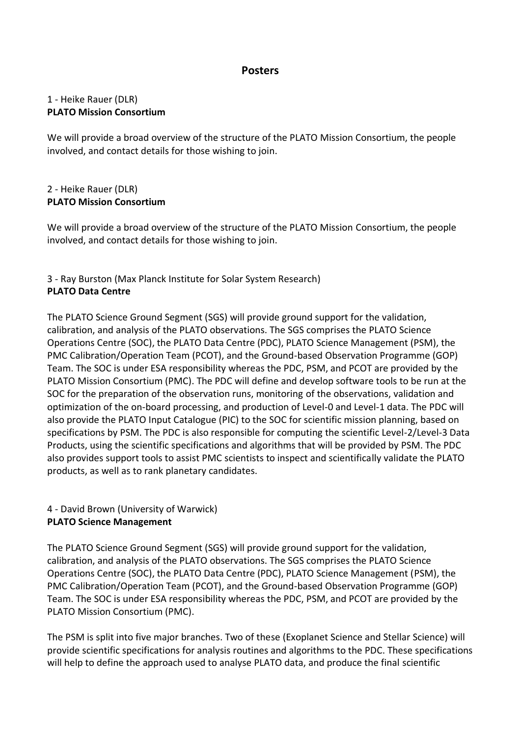## **Posters**

#### 1 - Heike Rauer (DLR) **PLATO Mission Consortium**

We will provide a broad overview of the structure of the PLATO Mission Consortium, the people involved, and contact details for those wishing to join.

#### 2 - Heike Rauer (DLR) **PLATO Mission Consortium**

We will provide a broad overview of the structure of the PLATO Mission Consortium, the people involved, and contact details for those wishing to join.

## 3 - Ray Burston (Max Planck Institute for Solar System Research) **PLATO Data Centre**

The PLATO Science Ground Segment (SGS) will provide ground support for the validation, calibration, and analysis of the PLATO observations. The SGS comprises the PLATO Science Operations Centre (SOC), the PLATO Data Centre (PDC), PLATO Science Management (PSM), the PMC Calibration/Operation Team (PCOT), and the Ground-based Observation Programme (GOP) Team. The SOC is under ESA responsibility whereas the PDC, PSM, and PCOT are provided by the PLATO Mission Consortium (PMC). The PDC will define and develop software tools to be run at the SOC for the preparation of the observation runs, monitoring of the observations, validation and optimization of the on-board processing, and production of Level-0 and Level-1 data. The PDC will also provide the PLATO Input Catalogue (PIC) to the SOC for scientific mission planning, based on specifications by PSM. The PDC is also responsible for computing the scientific Level-2/Level-3 Data Products, using the scientific specifications and algorithms that will be provided by PSM. The PDC also provides support tools to assist PMC scientists to inspect and scientifically validate the PLATO products, as well as to rank planetary candidates.

## 4 - David Brown (University of Warwick) **PLATO Science Management**

The PLATO Science Ground Segment (SGS) will provide ground support for the validation, calibration, and analysis of the PLATO observations. The SGS comprises the PLATO Science Operations Centre (SOC), the PLATO Data Centre (PDC), PLATO Science Management (PSM), the PMC Calibration/Operation Team (PCOT), and the Ground-based Observation Programme (GOP) Team. The SOC is under ESA responsibility whereas the PDC, PSM, and PCOT are provided by the PLATO Mission Consortium (PMC).

The PSM is split into five major branches. Two of these (Exoplanet Science and Stellar Science) will provide scientific specifications for analysis routines and algorithms to the PDC. These specifications will help to define the approach used to analyse PLATO data, and produce the final scientific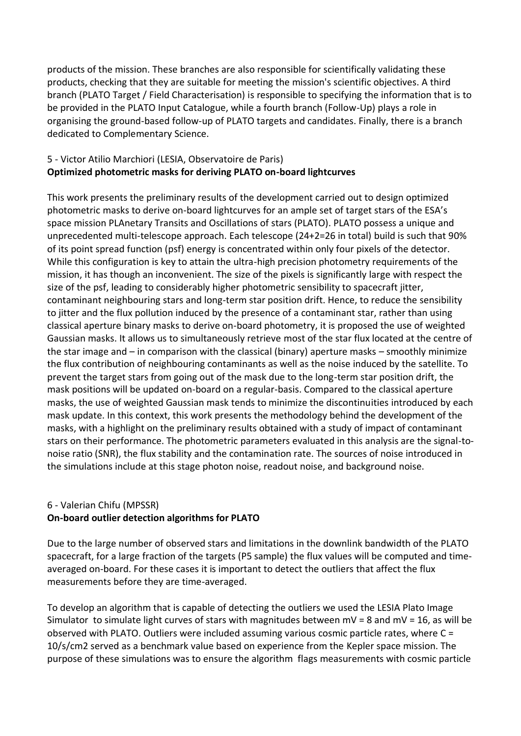products of the mission. These branches are also responsible for scientifically validating these products, checking that they are suitable for meeting the mission's scientific objectives. A third branch (PLATO Target / Field Characterisation) is responsible to specifying the information that is to be provided in the PLATO Input Catalogue, while a fourth branch (Follow-Up) plays a role in organising the ground-based follow-up of PLATO targets and candidates. Finally, there is a branch dedicated to Complementary Science.

#### 5 - Victor Atilio Marchiori (LESIA, Observatoire de Paris) **Optimized photometric masks for deriving PLATO on-board lightcurves**

This work presents the preliminary results of the development carried out to design optimized photometric masks to derive on-board lightcurves for an ample set of target stars of the ESA's space mission PLAnetary Transits and Oscillations of stars (PLATO). PLATO possess a unique and unprecedented multi-telescope approach. Each telescope (24+2=26 in total) build is such that 90% of its point spread function (psf) energy is concentrated within only four pixels of the detector. While this configuration is key to attain the ultra-high precision photometry requirements of the mission, it has though an inconvenient. The size of the pixels is significantly large with respect the size of the psf, leading to considerably higher photometric sensibility to spacecraft jitter, contaminant neighbouring stars and long-term star position drift. Hence, to reduce the sensibility to jitter and the flux pollution induced by the presence of a contaminant star, rather than using classical aperture binary masks to derive on-board photometry, it is proposed the use of weighted Gaussian masks. It allows us to simultaneously retrieve most of the star flux located at the centre of the star image and – in comparison with the classical (binary) aperture masks – smoothly minimize the flux contribution of neighbouring contaminants as well as the noise induced by the satellite. To prevent the target stars from going out of the mask due to the long-term star position drift, the mask positions will be updated on-board on a regular-basis. Compared to the classical aperture masks, the use of weighted Gaussian mask tends to minimize the discontinuities introduced by each mask update. In this context, this work presents the methodology behind the development of the masks, with a highlight on the preliminary results obtained with a study of impact of contaminant stars on their performance. The photometric parameters evaluated in this analysis are the signal-tonoise ratio (SNR), the flux stability and the contamination rate. The sources of noise introduced in the simulations include at this stage photon noise, readout noise, and background noise.

#### 6 - Valerian Chifu (MPSSR) **On-board outlier detection algorithms for PLATO**

Due to the large number of observed stars and limitations in the downlink bandwidth of the PLATO spacecraft, for a large fraction of the targets (P5 sample) the flux values will be computed and timeaveraged on-board. For these cases it is important to detect the outliers that affect the flux measurements before they are time-averaged.

To develop an algorithm that is capable of detecting the outliers we used the LESIA Plato Image Simulator to simulate light curves of stars with magnitudes between  $mv = 8$  and  $mv = 16$ , as will be observed with PLATO. Outliers were included assuming various cosmic particle rates, where C = 10/s/cm2 served as a benchmark value based on experience from the Kepler space mission. The purpose of these simulations was to ensure the algorithm flags measurements with cosmic particle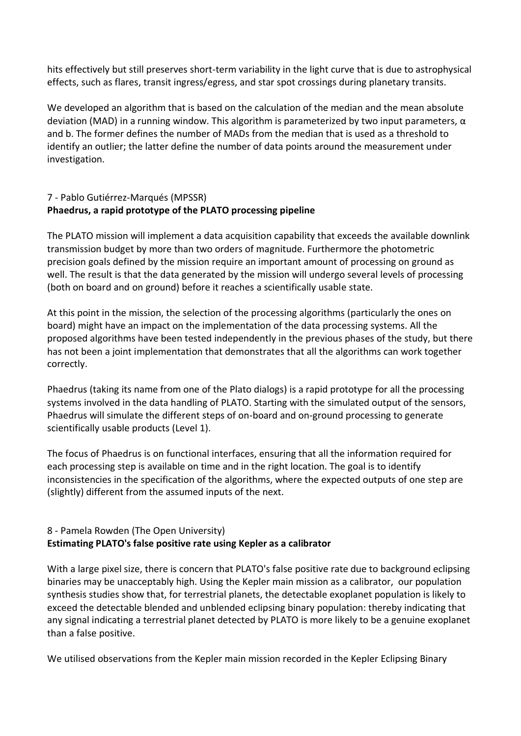hits effectively but still preserves short-term variability in the light curve that is due to astrophysical effects, such as flares, transit ingress/egress, and star spot crossings during planetary transits.

We developed an algorithm that is based on the calculation of the median and the mean absolute deviation (MAD) in a running window. This algorithm is parameterized by two input parameters,  $α$ and b. The former defines the number of MADs from the median that is used as a threshold to identify an outlier; the latter define the number of data points around the measurement under investigation.

## 7 - Pablo Gutiérrez-Marqués (MPSSR) **Phaedrus, a rapid prototype of the PLATO processing pipeline**

The PLATO mission will implement a data acquisition capability that exceeds the available downlink transmission budget by more than two orders of magnitude. Furthermore the photometric precision goals defined by the mission require an important amount of processing on ground as well. The result is that the data generated by the mission will undergo several levels of processing (both on board and on ground) before it reaches a scientifically usable state.

At this point in the mission, the selection of the processing algorithms (particularly the ones on board) might have an impact on the implementation of the data processing systems. All the proposed algorithms have been tested independently in the previous phases of the study, but there has not been a joint implementation that demonstrates that all the algorithms can work together correctly.

Phaedrus (taking its name from one of the Plato dialogs) is a rapid prototype for all the processing systems involved in the data handling of PLATO. Starting with the simulated output of the sensors, Phaedrus will simulate the different steps of on-board and on-ground processing to generate scientifically usable products (Level 1).

The focus of Phaedrus is on functional interfaces, ensuring that all the information required for each processing step is available on time and in the right location. The goal is to identify inconsistencies in the specification of the algorithms, where the expected outputs of one step are (slightly) different from the assumed inputs of the next.

## 8 - Pamela Rowden (The Open University) **Estimating PLATO's false positive rate using Kepler as a calibrator**

With a large pixel size, there is concern that PLATO's false positive rate due to background eclipsing binaries may be unacceptably high. Using the Kepler main mission as a calibrator, our population synthesis studies show that, for terrestrial planets, the detectable exoplanet population is likely to exceed the detectable blended and unblended eclipsing binary population: thereby indicating that any signal indicating a terrestrial planet detected by PLATO is more likely to be a genuine exoplanet than a false positive.

We utilised observations from the Kepler main mission recorded in the Kepler Eclipsing Binary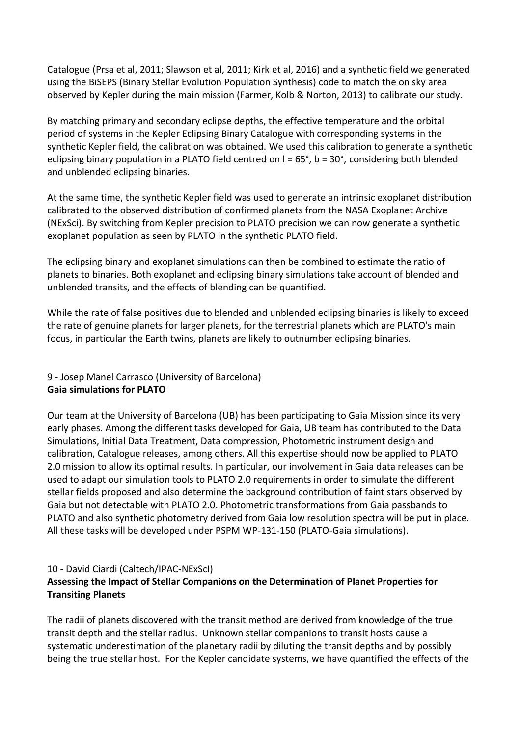Catalogue (Prsa et al, 2011; Slawson et al, 2011; Kirk et al, 2016) and a synthetic field we generated using the BiSEPS (Binary Stellar Evolution Population Synthesis) code to match the on sky area observed by Kepler during the main mission (Farmer, Kolb & Norton, 2013) to calibrate our study.

By matching primary and secondary eclipse depths, the effective temperature and the orbital period of systems in the Kepler Eclipsing Binary Catalogue with corresponding systems in the synthetic Kepler field, the calibration was obtained. We used this calibration to generate a synthetic eclipsing binary population in a PLATO field centred on  $I = 65^\circ$ , b = 30°, considering both blended and unblended eclipsing binaries.

At the same time, the synthetic Kepler field was used to generate an intrinsic exoplanet distribution calibrated to the observed distribution of confirmed planets from the NASA Exoplanet Archive (NExSci). By switching from Kepler precision to PLATO precision we can now generate a synthetic exoplanet population as seen by PLATO in the synthetic PLATO field.

The eclipsing binary and exoplanet simulations can then be combined to estimate the ratio of planets to binaries. Both exoplanet and eclipsing binary simulations take account of blended and unblended transits, and the effects of blending can be quantified.

While the rate of false positives due to blended and unblended eclipsing binaries is likely to exceed the rate of genuine planets for larger planets, for the terrestrial planets which are PLATO's main focus, in particular the Earth twins, planets are likely to outnumber eclipsing binaries.

## 9 - Josep Manel Carrasco (University of Barcelona) **Gaia simulations for PLATO**

Our team at the University of Barcelona (UB) has been participating to Gaia Mission since its very early phases. Among the different tasks developed for Gaia, UB team has contributed to the Data Simulations, Initial Data Treatment, Data compression, Photometric instrument design and calibration, Catalogue releases, among others. All this expertise should now be applied to PLATO 2.0 mission to allow its optimal results. In particular, our involvement in Gaia data releases can be used to adapt our simulation tools to PLATO 2.0 requirements in order to simulate the different stellar fields proposed and also determine the background contribution of faint stars observed by Gaia but not detectable with PLATO 2.0. Photometric transformations from Gaia passbands to PLATO and also synthetic photometry derived from Gaia low resolution spectra will be put in place. All these tasks will be developed under PSPM WP-131-150 (PLATO-Gaia simulations).

#### 10 - David Ciardi (Caltech/IPAC-NExScI)

## **Assessing the Impact of Stellar Companions on the Determination of Planet Properties for Transiting Planets**

The radii of planets discovered with the transit method are derived from knowledge of the true transit depth and the stellar radius. Unknown stellar companions to transit hosts cause a systematic underestimation of the planetary radii by diluting the transit depths and by possibly being the true stellar host. For the Kepler candidate systems, we have quantified the effects of the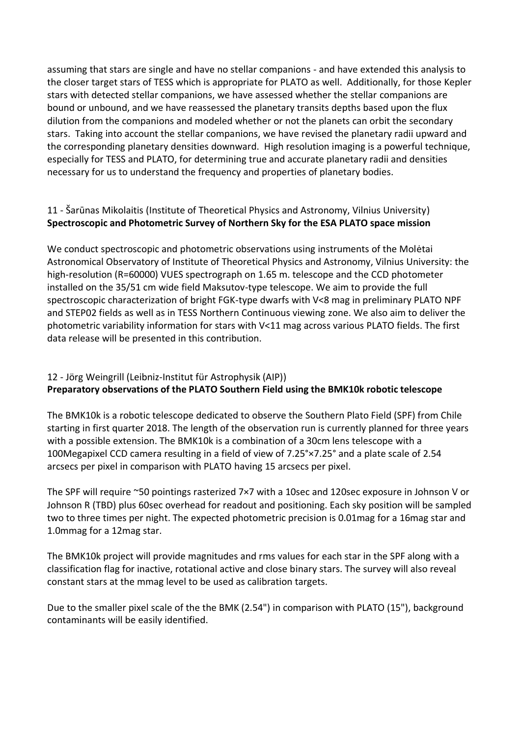assuming that stars are single and have no stellar companions - and have extended this analysis to the closer target stars of TESS which is appropriate for PLATO as well. Additionally, for those Kepler stars with detected stellar companions, we have assessed whether the stellar companions are bound or unbound, and we have reassessed the planetary transits depths based upon the flux dilution from the companions and modeled whether or not the planets can orbit the secondary stars. Taking into account the stellar companions, we have revised the planetary radii upward and the corresponding planetary densities downward. High resolution imaging is a powerful technique, especially for TESS and PLATO, for determining true and accurate planetary radii and densities necessary for us to understand the frequency and properties of planetary bodies.

## 11 - Šarūnas Mikolaitis (Institute of Theoretical Physics and Astronomy, Vilnius University) **Spectroscopic and Photometric Survey of Northern Sky for the ESA PLATO space mission**

We conduct spectroscopic and photometric observations using instruments of the Molėtai Astronomical Observatory of Institute of Theoretical Physics and Astronomy, Vilnius University: the high-resolution (R=60000) VUES spectrograph on 1.65 m. telescope and the CCD photometer installed on the 35/51 cm wide field Maksutov-type telescope. We aim to provide the full spectroscopic characterization of bright FGK-type dwarfs with V<8 mag in preliminary PLATO NPF and STEP02 fields as well as in TESS Northern Continuous viewing zone. We also aim to deliver the photometric variability information for stars with V<11 mag across various PLATO fields. The first data release will be presented in this contribution.

## 12 - Jörg Weingrill (Leibniz-Institut für Astrophysik (AIP)) **Preparatory observations of the PLATO Southern Field using the BMK10k robotic telescope**

The BMK10k is a robotic telescope dedicated to observe the Southern Plato Field (SPF) from Chile starting in first quarter 2018. The length of the observation run is currently planned for three years with a possible extension. The BMK10k is a combination of a 30cm lens telescope with a 100Megapixel CCD camera resulting in a field of view of 7.25°×7.25° and a plate scale of 2.54 arcsecs per pixel in comparison with PLATO having 15 arcsecs per pixel.

The SPF will require ~50 pointings rasterized 7×7 with a 10sec and 120sec exposure in Johnson V or Johnson R (TBD) plus 60sec overhead for readout and positioning. Each sky position will be sampled two to three times per night. The expected photometric precision is 0.01mag for a 16mag star and 1.0mmag for a 12mag star.

The BMK10k project will provide magnitudes and rms values for each star in the SPF along with a classification flag for inactive, rotational active and close binary stars. The survey will also reveal constant stars at the mmag level to be used as calibration targets.

Due to the smaller pixel scale of the the BMK (2.54") in comparison with PLATO (15"), background contaminants will be easily identified.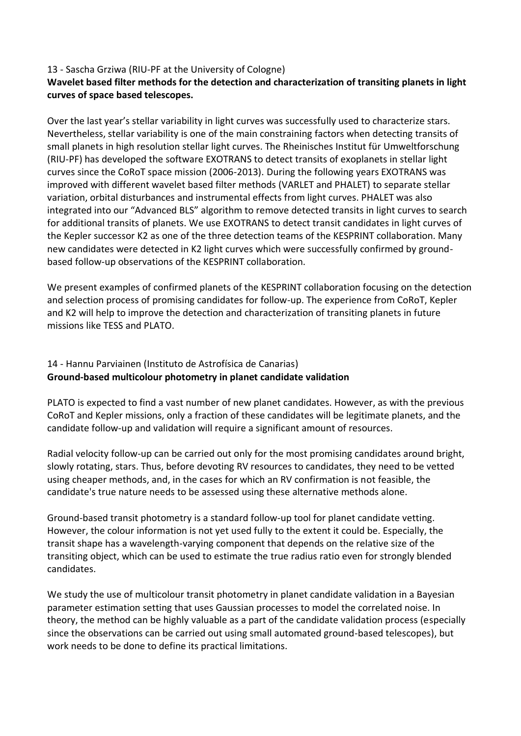#### 13 - Sascha Grziwa (RIU-PF at the University of Cologne)

## **Wavelet based filter methods for the detection and characterization of transiting planets in light curves of space based telescopes.**

Over the last year's stellar variability in light curves was successfully used to characterize stars. Nevertheless, stellar variability is one of the main constraining factors when detecting transits of small planets in high resolution stellar light curves. The Rheinisches Institut für Umweltforschung (RIU-PF) has developed the software EXOTRANS to detect transits of exoplanets in stellar light curves since the CoRoT space mission (2006-2013). During the following years EXOTRANS was improved with different wavelet based filter methods (VARLET and PHALET) to separate stellar variation, orbital disturbances and instrumental effects from light curves. PHALET was also integrated into our "Advanced BLS" algorithm to remove detected transits in light curves to search for additional transits of planets. We use EXOTRANS to detect transit candidates in light curves of the Kepler successor K2 as one of the three detection teams of the KESPRINT collaboration. Many new candidates were detected in K2 light curves which were successfully confirmed by groundbased follow-up observations of the KESPRINT collaboration.

We present examples of confirmed planets of the KESPRINT collaboration focusing on the detection and selection process of promising candidates for follow-up. The experience from CoRoT, Kepler and K2 will help to improve the detection and characterization of transiting planets in future missions like TESS and PLATO.

#### 14 - Hannu Parviainen (Instituto de Astrofísica de Canarias) **Ground-based multicolour photometry in planet candidate validation**

PLATO is expected to find a vast number of new planet candidates. However, as with the previous CoRoT and Kepler missions, only a fraction of these candidates will be legitimate planets, and the candidate follow-up and validation will require a significant amount of resources.

Radial velocity follow-up can be carried out only for the most promising candidates around bright, slowly rotating, stars. Thus, before devoting RV resources to candidates, they need to be vetted using cheaper methods, and, in the cases for which an RV confirmation is not feasible, the candidate's true nature needs to be assessed using these alternative methods alone.

Ground-based transit photometry is a standard follow-up tool for planet candidate vetting. However, the colour information is not yet used fully to the extent it could be. Especially, the transit shape has a wavelength-varying component that depends on the relative size of the transiting object, which can be used to estimate the true radius ratio even for strongly blended candidates.

We study the use of multicolour transit photometry in planet candidate validation in a Bayesian parameter estimation setting that uses Gaussian processes to model the correlated noise. In theory, the method can be highly valuable as a part of the candidate validation process (especially since the observations can be carried out using small automated ground-based telescopes), but work needs to be done to define its practical limitations.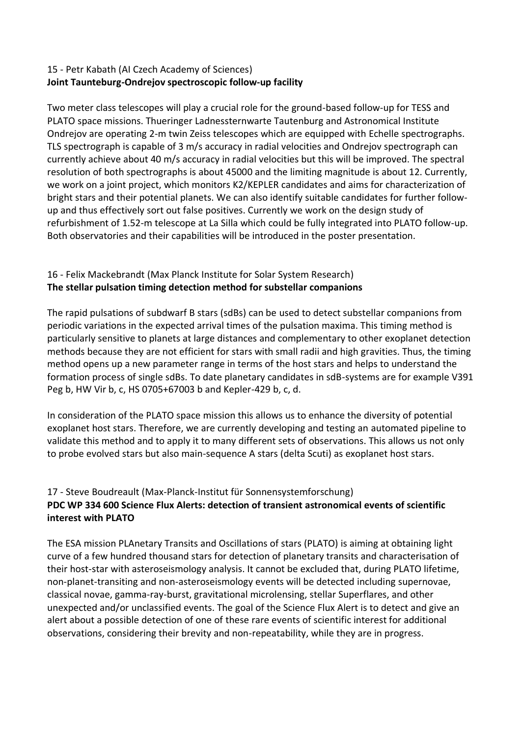#### 15 - Petr Kabath (AI Czech Academy of Sciences) **Joint Taunteburg-Ondrejov spectroscopic follow-up facility**

Two meter class telescopes will play a crucial role for the ground-based follow-up for TESS and PLATO space missions. Thueringer Ladnessternwarte Tautenburg and Astronomical Institute Ondrejov are operating 2-m twin Zeiss telescopes which are equipped with Echelle spectrographs. TLS spectrograph is capable of 3 m/s accuracy in radial velocities and Ondrejov spectrograph can currently achieve about 40 m/s accuracy in radial velocities but this will be improved. The spectral resolution of both spectrographs is about 45000 and the limiting magnitude is about 12. Currently, we work on a joint project, which monitors K2/KEPLER candidates and aims for characterization of bright stars and their potential planets. We can also identify suitable candidates for further followup and thus effectively sort out false positives. Currently we work on the design study of refurbishment of 1.52-m telescope at La Silla which could be fully integrated into PLATO follow-up. Both observatories and their capabilities will be introduced in the poster presentation.

## 16 - Felix Mackebrandt (Max Planck Institute for Solar System Research) **The stellar pulsation timing detection method for substellar companions**

The rapid pulsations of subdwarf B stars (sdBs) can be used to detect substellar companions from periodic variations in the expected arrival times of the pulsation maxima. This timing method is particularly sensitive to planets at large distances and complementary to other exoplanet detection methods because they are not efficient for stars with small radii and high gravities. Thus, the timing method opens up a new parameter range in terms of the host stars and helps to understand the formation process of single sdBs. To date planetary candidates in sdB-systems are for example V391 Peg b, HW Vir b, c, HS 0705+67003 b and Kepler-429 b, c, d.

In consideration of the PLATO space mission this allows us to enhance the diversity of potential exoplanet host stars. Therefore, we are currently developing and testing an automated pipeline to validate this method and to apply it to many different sets of observations. This allows us not only to probe evolved stars but also main-sequence A stars (delta Scuti) as exoplanet host stars.

## 17 - Steve Boudreault (Max-Planck-Institut für Sonnensystemforschung) **PDC WP 334 600 Science Flux Alerts: detection of transient astronomical events of scientific interest with PLATO**

The ESA mission PLAnetary Transits and Oscillations of stars (PLATO) is aiming at obtaining light curve of a few hundred thousand stars for detection of planetary transits and characterisation of their host-star with asteroseismology analysis. It cannot be excluded that, during PLATO lifetime, non-planet-transiting and non-asteroseismology events will be detected including supernovae, classical novae, gamma-ray-burst, gravitational microlensing, stellar Superflares, and other unexpected and/or unclassified events. The goal of the Science Flux Alert is to detect and give an alert about a possible detection of one of these rare events of scientific interest for additional observations, considering their brevity and non-repeatability, while they are in progress.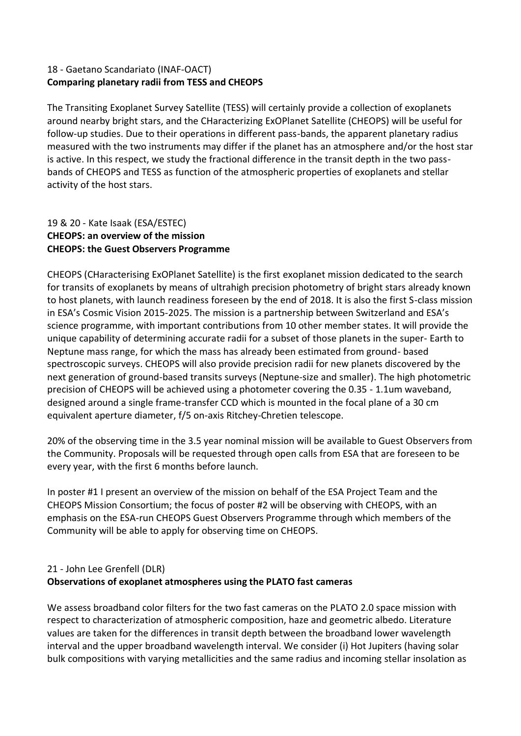## 18 - Gaetano Scandariato (INAF-OACT) **Comparing planetary radii from TESS and CHEOPS**

The Transiting Exoplanet Survey Satellite (TESS) will certainly provide a collection of exoplanets around nearby bright stars, and the CHaracterizing ExOPlanet Satellite (CHEOPS) will be useful for follow-up studies. Due to their operations in different pass-bands, the apparent planetary radius measured with the two instruments may differ if the planet has an atmosphere and/or the host star is active. In this respect, we study the fractional difference in the transit depth in the two passbands of CHEOPS and TESS as function of the atmospheric properties of exoplanets and stellar activity of the host stars.

#### 19 & 20 - Kate Isaak (ESA/ESTEC) **CHEOPS: an overview of the mission CHEOPS: the Guest Observers Programme**

CHEOPS (CHaracterising ExOPlanet Satellite) is the first exoplanet mission dedicated to the search for transits of exoplanets by means of ultrahigh precision photometry of bright stars already known to host planets, with launch readiness foreseen by the end of 2018. It is also the first S-class mission in ESA's Cosmic Vision 2015-2025. The mission is a partnership between Switzerland and ESA's science programme, with important contributions from 10 other member states. It will provide the unique capability of determining accurate radii for a subset of those planets in the super- Earth to Neptune mass range, for which the mass has already been estimated from ground- based spectroscopic surveys. CHEOPS will also provide precision radii for new planets discovered by the next generation of ground-based transits surveys (Neptune-size and smaller). The high photometric precision of CHEOPS will be achieved using a photometer covering the 0.35 - 1.1um waveband, designed around a single frame-transfer CCD which is mounted in the focal plane of a 30 cm equivalent aperture diameter, f/5 on-axis Ritchey-Chretien telescope.

20% of the observing time in the 3.5 year nominal mission will be available to Guest Observers from the Community. Proposals will be requested through open calls from ESA that are foreseen to be every year, with the first 6 months before launch.

In poster #1 I present an overview of the mission on behalf of the ESA Project Team and the CHEOPS Mission Consortium; the focus of poster #2 will be observing with CHEOPS, with an emphasis on the ESA-run CHEOPS Guest Observers Programme through which members of the Community will be able to apply for observing time on CHEOPS.

## 21 - John Lee Grenfell (DLR) **Observations of exoplanet atmospheres using the PLATO fast cameras**

We assess broadband color filters for the two fast cameras on the PLATO 2.0 space mission with respect to characterization of atmospheric composition, haze and geometric albedo. Literature values are taken for the differences in transit depth between the broadband lower wavelength interval and the upper broadband wavelength interval. We consider (i) Hot Jupiters (having solar bulk compositions with varying metallicities and the same radius and incoming stellar insolation as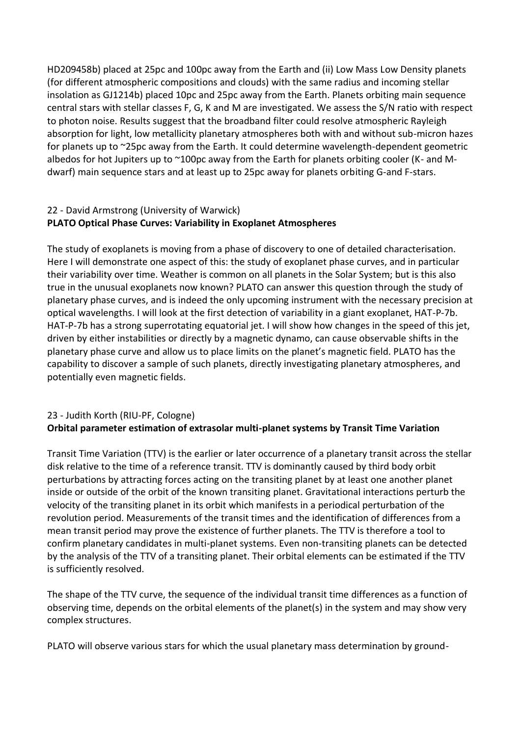HD209458b) placed at 25pc and 100pc away from the Earth and (ii) Low Mass Low Density planets (for different atmospheric compositions and clouds) with the same radius and incoming stellar insolation as GJ1214b) placed 10pc and 25pc away from the Earth. Planets orbiting main sequence central stars with stellar classes F, G, K and M are investigated. We assess the S/N ratio with respect to photon noise. Results suggest that the broadband filter could resolve atmospheric Rayleigh absorption for light, low metallicity planetary atmospheres both with and without sub-micron hazes for planets up to ~25pc away from the Earth. It could determine wavelength-dependent geometric albedos for hot Jupiters up to ~100pc away from the Earth for planets orbiting cooler (K- and Mdwarf) main sequence stars and at least up to 25pc away for planets orbiting G-and F-stars.

## 22 - David Armstrong (University of Warwick) **PLATO Optical Phase Curves: Variability in Exoplanet Atmospheres**

The study of exoplanets is moving from a phase of discovery to one of detailed characterisation. Here I will demonstrate one aspect of this: the study of exoplanet phase curves, and in particular their variability over time. Weather is common on all planets in the Solar System; but is this also true in the unusual exoplanets now known? PLATO can answer this question through the study of planetary phase curves, and is indeed the only upcoming instrument with the necessary precision at optical wavelengths. I will look at the first detection of variability in a giant exoplanet, HAT-P-7b. HAT-P-7b has a strong superrotating equatorial jet. I will show how changes in the speed of this jet, driven by either instabilities or directly by a magnetic dynamo, can cause observable shifts in the planetary phase curve and allow us to place limits on the planet's magnetic field. PLATO has the capability to discover a sample of such planets, directly investigating planetary atmospheres, and potentially even magnetic fields.

## 23 - Judith Korth (RIU-PF, Cologne) **Orbital parameter estimation of extrasolar multi-planet systems by Transit Time Variation**

Transit Time Variation (TTV) is the earlier or later occurrence of a planetary transit across the stellar disk relative to the time of a reference transit. TTV is dominantly caused by third body orbit perturbations by attracting forces acting on the transiting planet by at least one another planet inside or outside of the orbit of the known transiting planet. Gravitational interactions perturb the velocity of the transiting planet in its orbit which manifests in a periodical perturbation of the revolution period. Measurements of the transit times and the identification of differences from a mean transit period may prove the existence of further planets. The TTV is therefore a tool to confirm planetary candidates in multi-planet systems. Even non-transiting planets can be detected by the analysis of the TTV of a transiting planet. Their orbital elements can be estimated if the TTV is sufficiently resolved.

The shape of the TTV curve, the sequence of the individual transit time differences as a function of observing time, depends on the orbital elements of the planet(s) in the system and may show very complex structures.

PLATO will observe various stars for which the usual planetary mass determination by ground-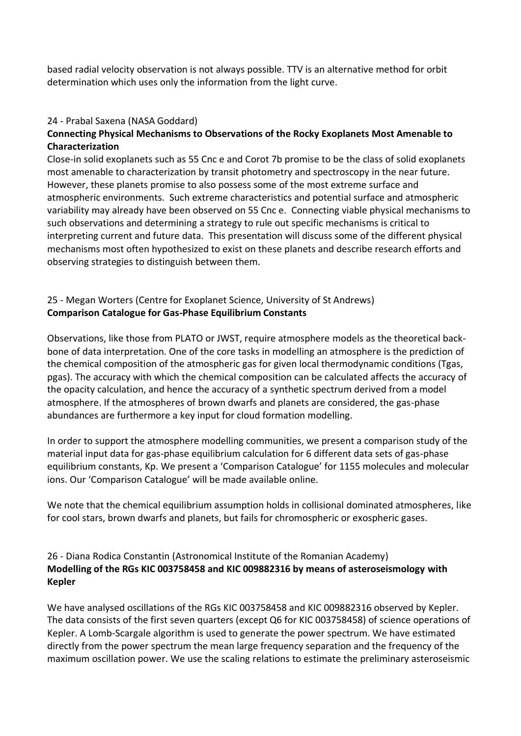based radial velocity observation is not always possible. TTV is an alternative method for orbit determination which uses only the information from the light curve.

#### 24 - Prabal Saxena (NASA Goddard)

## **Connecting Physical Mechanisms to Observations of the Rocky Exoplanets Most Amenable to Characterization**

Close-in solid exoplanets such as 55 Cnc e and Corot 7b promise to be the class of solid exoplanets most amenable to characterization by transit photometry and spectroscopy in the near future. However, these planets promise to also possess some of the most extreme surface and atmospheric environments. Such extreme characteristics and potential surface and atmospheric variability may already have been observed on 55 Cnc e. Connecting viable physical mechanisms to such observations and determining a strategy to rule out specific mechanisms is critical to interpreting current and future data. This presentation will discuss some of the different physical mechanisms most often hypothesized to exist on these planets and describe research efforts and observing strategies to distinguish between them.

#### 25 - Megan Worters (Centre for Exoplanet Science, University of St Andrews) **Comparison Catalogue for Gas-Phase Equilibrium Constants**

Observations, like those from PLATO or JWST, require atmosphere models as the theoretical backbone of data interpretation. One of the core tasks in modelling an atmosphere is the prediction of the chemical composition of the atmospheric gas for given local thermodynamic conditions (Tgas, pgas). The accuracy with which the chemical composition can be calculated affects the accuracy of the opacity calculation, and hence the accuracy of a synthetic spectrum derived from a model atmosphere. If the atmospheres of brown dwarfs and planets are considered, the gas-phase abundances are furthermore a key input for cloud formation modelling.

In order to support the atmosphere modelling communities, we present a comparison study of the material input data for gas-phase equilibrium calculation for 6 different data sets of gas-phase equilibrium constants, Kp. We present a 'Comparison Catalogue' for 1155 molecules and molecular ions. Our 'Comparison Catalogue' will be made available online.

We note that the chemical equilibrium assumption holds in collisional dominated atmospheres, like for cool stars, brown dwarfs and planets, but fails for chromospheric or exospheric gases.

## 26 - Diana Rodica Constantin (Astronomical Institute of the Romanian Academy) **Modelling of the RGs KIC 003758458 and KIC 009882316 by means of asteroseismology with Kepler**

We have analysed oscillations of the RGs KIC 003758458 and KIC 009882316 observed by Kepler. The data consists of the first seven quarters (except Q6 for KIC 003758458) of science operations of Kepler. A Lomb-Scargale algorithm is used to generate the power spectrum. We have estimated directly from the power spectrum the mean large frequency separation and the frequency of the maximum oscillation power. We use the scaling relations to estimate the preliminary asteroseismic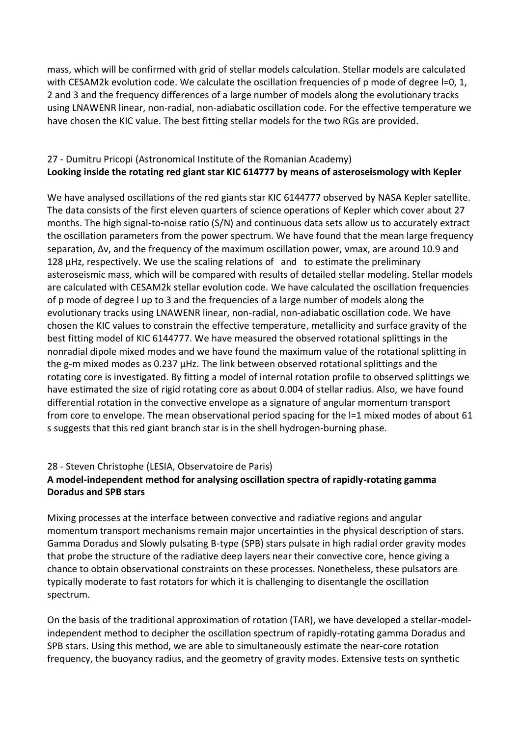mass, which will be confirmed with grid of stellar models calculation. Stellar models are calculated with CESAM2k evolution code. We calculate the oscillation frequencies of p mode of degree I=0, 1, 2 and 3 and the frequency differences of a large number of models along the evolutionary tracks using LNAWENR linear, non-radial, non-adiabatic oscillation code. For the effective temperature we have chosen the KIC value. The best fitting stellar models for the two RGs are provided.

## 27 - Dumitru Pricopi (Astronomical Institute of the Romanian Academy) **Looking inside the rotating red giant star KIC 614777 by means of asteroseismology with Kepler**

We have analysed oscillations of the red giants star KIC 6144777 observed by NASA Kepler satellite. The data consists of the first eleven quarters of science operations of Kepler which cover about 27 months. The high signal-to-noise ratio (S/N) and continuous data sets allow us to accurately extract the oscillation parameters from the power spectrum. We have found that the mean large frequency separation, Δν, and the frequency of the maximum oscillation power, νmax, are around 10.9 and 128  $\mu$ Hz, respectively. We use the scaling relations of and to estimate the preliminary asteroseismic mass, which will be compared with results of detailed stellar modeling. Stellar models are calculated with CESAM2k stellar evolution code. We have calculated the oscillation frequencies of p mode of degree l up to 3 and the frequencies of a large number of models along the evolutionary tracks using LNAWENR linear, non-radial, non-adiabatic oscillation code. We have chosen the KIC values to constrain the effective temperature, metallicity and surface gravity of the best fitting model of KIC 6144777. We have measured the observed rotational splittings in the nonradial dipole mixed modes and we have found the maximum value of the rotational splitting in the g-m mixed modes as 0.237 μHz. The link between observed rotational splittings and the rotating core is investigated. By fitting a model of internal rotation profile to observed splittings we have estimated the size of rigid rotating core as about 0.004 of stellar radius. Also, we have found differential rotation in the convective envelope as a signature of angular momentum transport from core to envelope. The mean observational period spacing for the l=1 mixed modes of about 61 s suggests that this red giant branch star is in the shell hydrogen-burning phase.

#### 28 - Steven Christophe (LESIA, Observatoire de Paris)

## **A model-independent method for analysing oscillation spectra of rapidly-rotating gamma Doradus and SPB stars**

Mixing processes at the interface between convective and radiative regions and angular momentum transport mechanisms remain major uncertainties in the physical description of stars. Gamma Doradus and Slowly pulsating B-type (SPB) stars pulsate in high radial order gravity modes that probe the structure of the radiative deep layers near their convective core, hence giving a chance to obtain observational constraints on these processes. Nonetheless, these pulsators are typically moderate to fast rotators for which it is challenging to disentangle the oscillation spectrum.

On the basis of the traditional approximation of rotation (TAR), we have developed a stellar-modelindependent method to decipher the oscillation spectrum of rapidly-rotating gamma Doradus and SPB stars. Using this method, we are able to simultaneously estimate the near-core rotation frequency, the buoyancy radius, and the geometry of gravity modes. Extensive tests on synthetic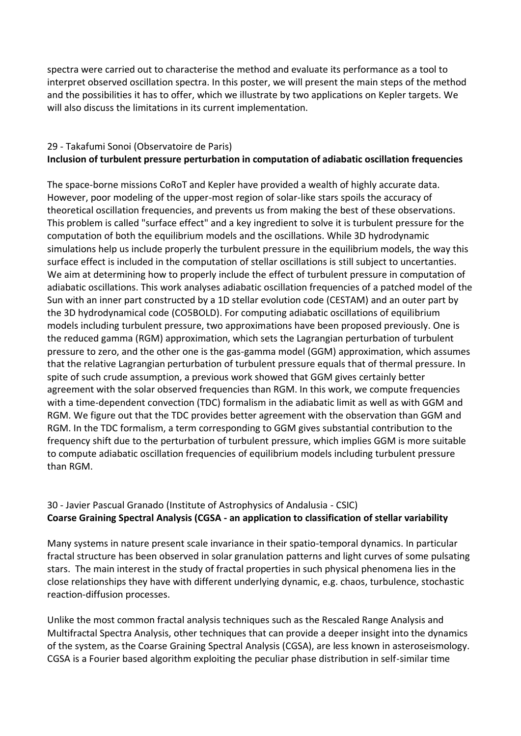spectra were carried out to characterise the method and evaluate its performance as a tool to interpret observed oscillation spectra. In this poster, we will present the main steps of the method and the possibilities it has to offer, which we illustrate by two applications on Kepler targets. We will also discuss the limitations in its current implementation.

## 29 - Takafumi Sonoi (Observatoire de Paris) **Inclusion of turbulent pressure perturbation in computation of adiabatic oscillation frequencies**

The space-borne missions CoRoT and Kepler have provided a wealth of highly accurate data. However, poor modeling of the upper-most region of solar-like stars spoils the accuracy of theoretical oscillation frequencies, and prevents us from making the best of these observations. This problem is called "surface effect" and a key ingredient to solve it is turbulent pressure for the computation of both the equilibrium models and the oscillations. While 3D hydrodynamic simulations help us include properly the turbulent pressure in the equilibrium models, the way this surface effect is included in the computation of stellar oscillations is still subject to uncertanties. We aim at determining how to properly include the effect of turbulent pressure in computation of adiabatic oscillations. This work analyses adiabatic oscillation frequencies of a patched model of the Sun with an inner part constructed by a 1D stellar evolution code (CESTAM) and an outer part by the 3D hydrodynamical code (CO5BOLD). For computing adiabatic oscillations of equilibrium models including turbulent pressure, two approximations have been proposed previously. One is the reduced gamma (RGM) approximation, which sets the Lagrangian perturbation of turbulent pressure to zero, and the other one is the gas-gamma model (GGM) approximation, which assumes that the relative Lagrangian perturbation of turbulent pressure equals that of thermal pressure. In spite of such crude assumption, a previous work showed that GGM gives certainly better agreement with the solar observed frequencies than RGM. In this work, we compute frequencies with a time-dependent convection (TDC) formalism in the adiabatic limit as well as with GGM and RGM. We figure out that the TDC provides better agreement with the observation than GGM and RGM. In the TDC formalism, a term corresponding to GGM gives substantial contribution to the frequency shift due to the perturbation of turbulent pressure, which implies GGM is more suitable to compute adiabatic oscillation frequencies of equilibrium models including turbulent pressure than RGM.

#### 30 - Javier Pascual Granado (Institute of Astrophysics of Andalusia - CSIC) **Coarse Graining Spectral Analysis (CGSA - an application to classification of stellar variability**

Many systems in nature present scale invariance in their spatio-temporal dynamics. In particular fractal structure has been observed in solar granulation patterns and light curves of some pulsating stars. The main interest in the study of fractal properties in such physical phenomena lies in the close relationships they have with different underlying dynamic, e.g. chaos, turbulence, stochastic reaction-diffusion processes.

Unlike the most common fractal analysis techniques such as the Rescaled Range Analysis and Multifractal Spectra Analysis, other techniques that can provide a deeper insight into the dynamics of the system, as the Coarse Graining Spectral Analysis (CGSA), are less known in asteroseismology. CGSA is a Fourier based algorithm exploiting the peculiar phase distribution in self-similar time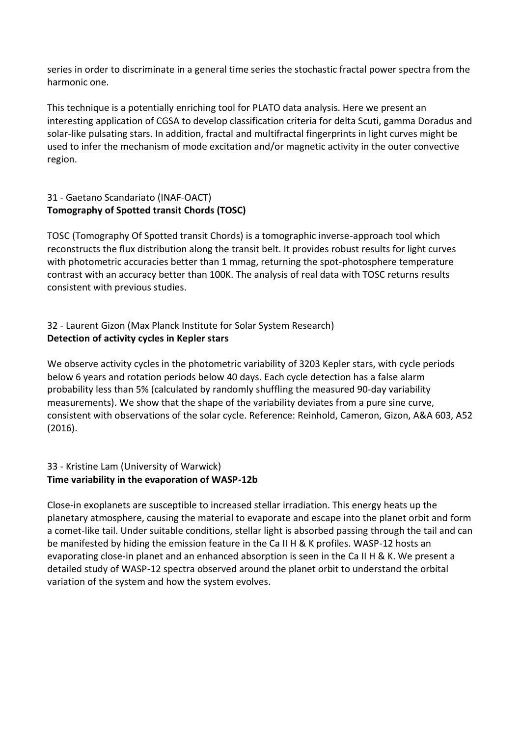series in order to discriminate in a general time series the stochastic fractal power spectra from the harmonic one.

This technique is a potentially enriching tool for PLATO data analysis. Here we present an interesting application of CGSA to develop classification criteria for delta Scuti, gamma Doradus and solar-like pulsating stars. In addition, fractal and multifractal fingerprints in light curves might be used to infer the mechanism of mode excitation and/or magnetic activity in the outer convective region.

## 31 - Gaetano Scandariato (INAF-OACT) **Tomography of Spotted transit Chords (TOSC)**

TOSC (Tomography Of Spotted transit Chords) is a tomographic inverse-approach tool which reconstructs the flux distribution along the transit belt. It provides robust results for light curves with photometric accuracies better than 1 mmag, returning the spot-photosphere temperature contrast with an accuracy better than 100K. The analysis of real data with TOSC returns results consistent with previous studies.

## 32 - Laurent Gizon (Max Planck Institute for Solar System Research) **Detection of activity cycles in Kepler stars**

We observe activity cycles in the photometric variability of 3203 Kepler stars, with cycle periods below 6 years and rotation periods below 40 days. Each cycle detection has a false alarm probability less than 5% (calculated by randomly shuffling the measured 90-day variability measurements). We show that the shape of the variability deviates from a pure sine curve, consistent with observations of the solar cycle. Reference: Reinhold, Cameron, Gizon, A&A 603, A52 (2016).

## 33 - Kristine Lam (University of Warwick) **Time variability in the evaporation of WASP-12b**

Close-in exoplanets are susceptible to increased stellar irradiation. This energy heats up the planetary atmosphere, causing the material to evaporate and escape into the planet orbit and form a comet-like tail. Under suitable conditions, stellar light is absorbed passing through the tail and can be manifested by hiding the emission feature in the Ca II H & K profiles. WASP-12 hosts an evaporating close-in planet and an enhanced absorption is seen in the Ca II H & K. We present a detailed study of WASP-12 spectra observed around the planet orbit to understand the orbital variation of the system and how the system evolves.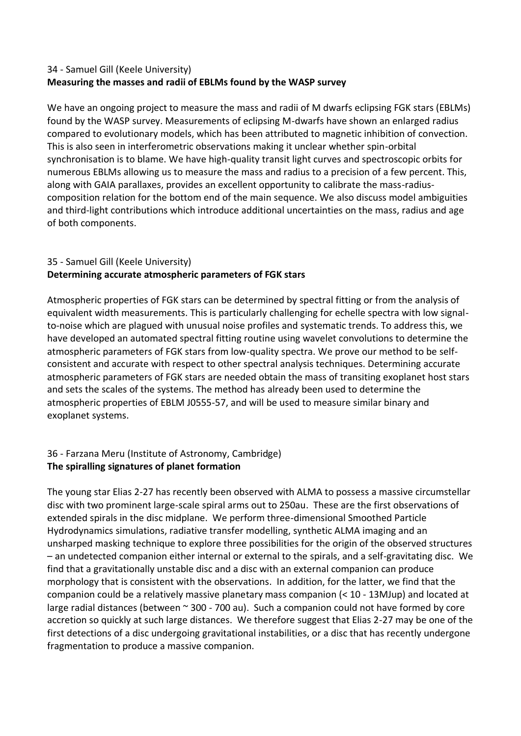## 34 - Samuel Gill (Keele University) **Measuring the masses and radii of EBLMs found by the WASP survey**

We have an ongoing project to measure the mass and radii of M dwarfs eclipsing FGK stars (EBLMs) found by the WASP survey. Measurements of eclipsing M-dwarfs have shown an enlarged radius compared to evolutionary models, which has been attributed to magnetic inhibition of convection. This is also seen in interferometric observations making it unclear whether spin-orbital synchronisation is to blame. We have high-quality transit light curves and spectroscopic orbits for numerous EBLMs allowing us to measure the mass and radius to a precision of a few percent. This, along with GAIA parallaxes, provides an excellent opportunity to calibrate the mass-radiuscomposition relation for the bottom end of the main sequence. We also discuss model ambiguities and third-light contributions which introduce additional uncertainties on the mass, radius and age of both components.

## 35 - Samuel Gill (Keele University) **Determining accurate atmospheric parameters of FGK stars**

Atmospheric properties of FGK stars can be determined by spectral fitting or from the analysis of equivalent width measurements. This is particularly challenging for echelle spectra with low signalto-noise which are plagued with unusual noise profiles and systematic trends. To address this, we have developed an automated spectral fitting routine using wavelet convolutions to determine the atmospheric parameters of FGK stars from low-quality spectra. We prove our method to be selfconsistent and accurate with respect to other spectral analysis techniques. Determining accurate atmospheric parameters of FGK stars are needed obtain the mass of transiting exoplanet host stars and sets the scales of the systems. The method has already been used to determine the atmospheric properties of EBLM J0555-57, and will be used to measure similar binary and exoplanet systems.

## 36 - Farzana Meru (Institute of Astronomy, Cambridge) **The spiralling signatures of planet formation**

The young star Elias 2-27 has recently been observed with ALMA to possess a massive circumstellar disc with two prominent large-scale spiral arms out to 250au. These are the first observations of extended spirals in the disc midplane. We perform three-dimensional Smoothed Particle Hydrodynamics simulations, radiative transfer modelling, synthetic ALMA imaging and an unsharped masking technique to explore three possibilities for the origin of the observed structures – an undetected companion either internal or external to the spirals, and a self-gravitating disc. We find that a gravitationally unstable disc and a disc with an external companion can produce morphology that is consistent with the observations. In addition, for the latter, we find that the companion could be a relatively massive planetary mass companion (< 10 - 13MJup) and located at large radial distances (between ~ 300 - 700 au). Such a companion could not have formed by core accretion so quickly at such large distances. We therefore suggest that Elias 2-27 may be one of the first detections of a disc undergoing gravitational instabilities, or a disc that has recently undergone fragmentation to produce a massive companion.